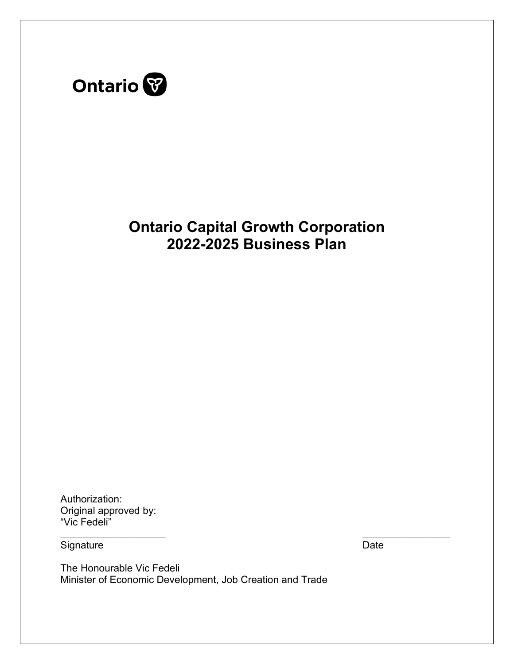

# **Ontario Capital Growth Corporation 2022-2025 Business Plan**

Authorization: Original approved by: "Vic Fedeli"

\_\_\_\_\_\_\_\_\_\_\_\_\_\_\_\_\_\_\_\_\_\_\_

**Signature** 

 $\overline{\phantom{a}}$  , where  $\overline{\phantom{a}}$ Date

The Honourable Vic Fedeli Minister of Economic Development, Job Creation and Trade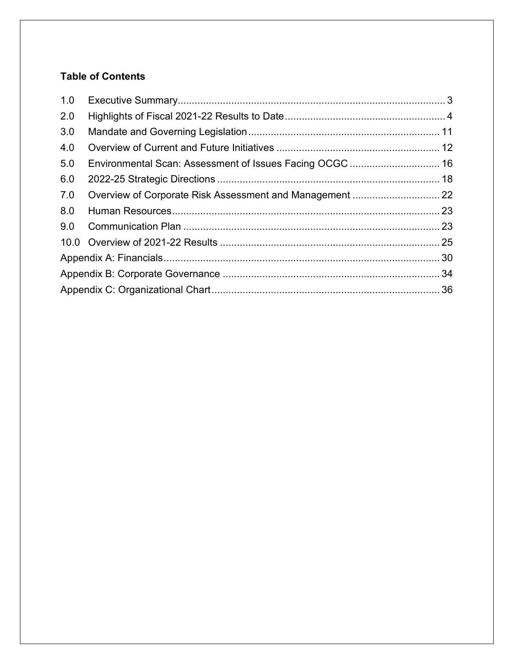# **Table of Contents**

| 1.0 |                                                          |  |
|-----|----------------------------------------------------------|--|
| 2.0 |                                                          |  |
| 3.0 |                                                          |  |
| 4.0 |                                                          |  |
| 5.0 | Environmental Scan: Assessment of Issues Facing OCGC  16 |  |
| 6.0 |                                                          |  |
| 7.0 |                                                          |  |
| 8.0 |                                                          |  |
| 9.0 |                                                          |  |
|     |                                                          |  |
|     |                                                          |  |
|     |                                                          |  |
|     |                                                          |  |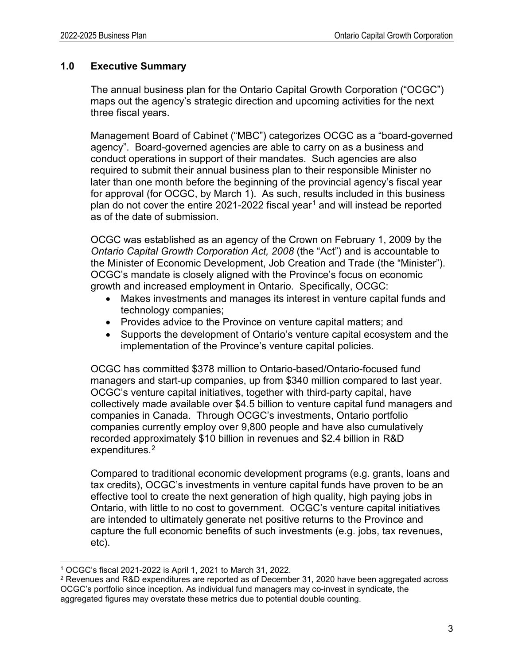## <span id="page-2-0"></span>**1.0 Executive Summary**

The annual business plan for the Ontario Capital Growth Corporation ("OCGC") maps out the agency's strategic direction and upcoming activities for the next three fiscal years.

Management Board of Cabinet ("MBC") categorizes OCGC as a "board-governed agency". Board-governed agencies are able to carry on as a business and conduct operations in support of their mandates. Such agencies are also required to submit their annual business plan to their responsible Minister no later than one month before the beginning of the provincial agency's fiscal year for approval (for OCGC, by March 1). As such, results included in this business plan do not cover the entire 202[1](#page-2-1)-2022 fiscal year<sup>1</sup> and will instead be reported as of the date of submission.

OCGC was established as an agency of the Crown on February 1, 2009 by the *Ontario Capital Growth Corporation Act, 2008* (the "Act") and is accountable to the Minister of Economic Development, Job Creation and Trade (the "Minister"). OCGC's mandate is closely aligned with the Province's focus on economic growth and increased employment in Ontario. Specifically, OCGC:

- Makes investments and manages its interest in venture capital funds and technology companies;
- Provides advice to the Province on venture capital matters; and
- Supports the development of Ontario's venture capital ecosystem and the implementation of the Province's venture capital policies.

OCGC has committed \$378 million to Ontario-based/Ontario-focused fund managers and start-up companies, up from \$340 million compared to last year. OCGC's venture capital initiatives, together with third-party capital, have collectively made available over \$4.5 billion to venture capital fund managers and companies in Canada. Through OCGC's investments, Ontario portfolio companies currently employ over 9,800 people and have also cumulatively recorded approximately \$10 billion in revenues and \$2.4 billion in R&D expenditures.<sup>[2](#page-2-2)</sup>

Compared to traditional economic development programs (e.g. grants, loans and tax credits), OCGC's investments in venture capital funds have proven to be an effective tool to create the next generation of high quality, high paying jobs in Ontario, with little to no cost to government. OCGC's venture capital initiatives are intended to ultimately generate net positive returns to the Province and capture the full economic benefits of such investments (e.g. jobs, tax revenues, etc).

<span id="page-2-1"></span><sup>1</sup> OCGC's fiscal 2021-2022 is April 1, 2021 to March 31, 2022.

<span id="page-2-2"></span><sup>2</sup> Revenues and R&D expenditures are reported as of December 31, 2020 have been aggregated across OCGC's portfolio since inception. As individual fund managers may co-invest in syndicate, the aggregated figures may overstate these metrics due to potential double counting.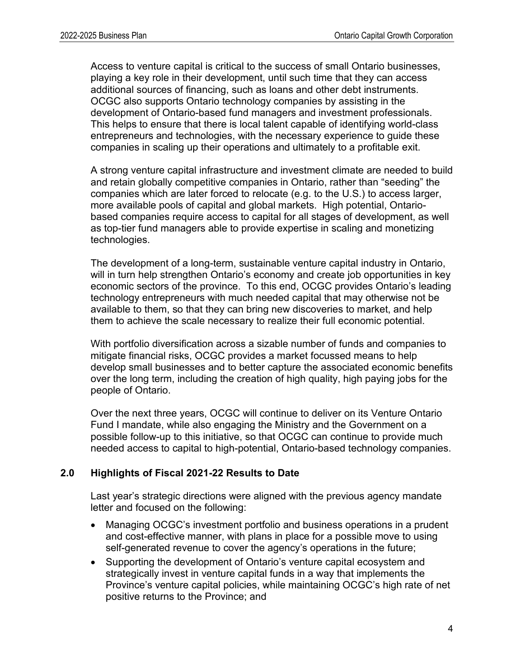Access to venture capital is critical to the success of small Ontario businesses, playing a key role in their development, until such time that they can access additional sources of financing, such as loans and other debt instruments. OCGC also supports Ontario technology companies by assisting in the development of Ontario-based fund managers and investment professionals. This helps to ensure that there is local talent capable of identifying world-class entrepreneurs and technologies, with the necessary experience to guide these companies in scaling up their operations and ultimately to a profitable exit.

A strong venture capital infrastructure and investment climate are needed to build and retain globally competitive companies in Ontario, rather than "seeding" the companies which are later forced to relocate (e.g. to the U.S.) to access larger, more available pools of capital and global markets. High potential, Ontariobased companies require access to capital for all stages of development, as well as top-tier fund managers able to provide expertise in scaling and monetizing technologies.

The development of a long-term, sustainable venture capital industry in Ontario, will in turn help strengthen Ontario's economy and create job opportunities in key economic sectors of the province. To this end, OCGC provides Ontario's leading technology entrepreneurs with much needed capital that may otherwise not be available to them, so that they can bring new discoveries to market, and help them to achieve the scale necessary to realize their full economic potential.

With portfolio diversification across a sizable number of funds and companies to mitigate financial risks, OCGC provides a market focussed means to help develop small businesses and to better capture the associated economic benefits over the long term, including the creation of high quality, high paying jobs for the people of Ontario.

Over the next three years, OCGC will continue to deliver on its Venture Ontario Fund I mandate, while also engaging the Ministry and the Government on a possible follow-up to this initiative, so that OCGC can continue to provide much needed access to capital to high-potential, Ontario-based technology companies.

## <span id="page-3-0"></span>**2.0 Highlights of Fiscal 2021-22 Results to Date**

Last year's strategic directions were aligned with the previous agency mandate letter and focused on the following:

- Managing OCGC's investment portfolio and business operations in a prudent and cost-effective manner, with plans in place for a possible move to using self-generated revenue to cover the agency's operations in the future;
- Supporting the development of Ontario's venture capital ecosystem and strategically invest in venture capital funds in a way that implements the Province's venture capital policies, while maintaining OCGC's high rate of net positive returns to the Province; and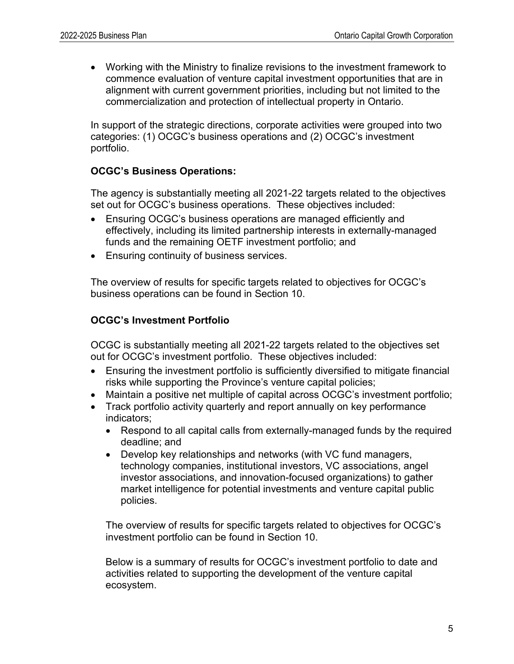• Working with the Ministry to finalize revisions to the investment framework to commence evaluation of venture capital investment opportunities that are in alignment with current government priorities, including but not limited to the commercialization and protection of intellectual property in Ontario.

In support of the strategic directions, corporate activities were grouped into two categories: (1) OCGC's business operations and (2) OCGC's investment portfolio.

#### **OCGC's Business Operations:**

The agency is substantially meeting all 2021-22 targets related to the objectives set out for OCGC's business operations. These objectives included:

- Ensuring OCGC's business operations are managed efficiently and effectively, including its limited partnership interests in externally-managed funds and the remaining OETF investment portfolio; and
- Ensuring continuity of business services.

The overview of results for specific targets related to objectives for OCGC's business operations can be found in Section 10.

#### **OCGC's Investment Portfolio**

OCGC is substantially meeting all 2021-22 targets related to the objectives set out for OCGC's investment portfolio. These objectives included:

- Ensuring the investment portfolio is sufficiently diversified to mitigate financial risks while supporting the Province's venture capital policies;
- Maintain a positive net multiple of capital across OCGC's investment portfolio;
- Track portfolio activity quarterly and report annually on key performance indicators;
	- Respond to all capital calls from externally-managed funds by the required deadline; and
	- Develop key relationships and networks (with VC fund managers, technology companies, institutional investors, VC associations, angel investor associations, and innovation-focused organizations) to gather market intelligence for potential investments and venture capital public policies.

The overview of results for specific targets related to objectives for OCGC's investment portfolio can be found in Section 10.

Below is a summary of results for OCGC's investment portfolio to date and activities related to supporting the development of the venture capital ecosystem.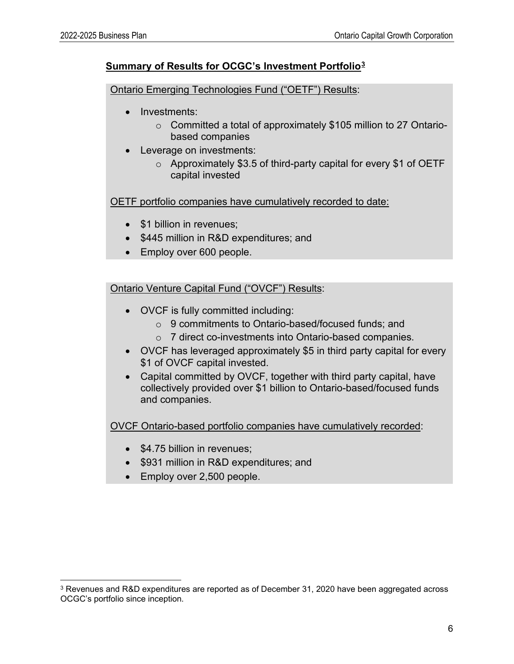## **Summary of Results for OCGC's Investment Portfolio[3](#page-5-0)**

Ontario Emerging Technologies Fund ("OETF") Results:

- Investments:
	- o Committed a total of approximately \$105 million to 27 Ontariobased companies
- **Leverage on investments:** 
	- $\circ$  Approximately \$3.5 of third-party capital for every \$1 of OETF capital invested

OETF portfolio companies have cumulatively recorded to date:

- \$1 billion in revenues;
- \$445 million in R&D expenditures; and
- Employ over 600 people.

Ontario Venture Capital Fund ("OVCF") Results:

- OVCF is fully committed including:
	- o 9 commitments to Ontario-based/focused funds; and
	- o 7 direct co-investments into Ontario-based companies.
- OVCF has leveraged approximately \$5 in third party capital for every \$1 of OVCF capital invested.
- Capital committed by OVCF, together with third party capital, have collectively provided over \$1 billion to Ontario-based/focused funds and companies.

OVCF Ontario-based portfolio companies have cumulatively recorded:

- \$4.75 billion in revenues:
- \$931 million in R&D expenditures; and
- Employ over 2,500 people.

<span id="page-5-0"></span><sup>3</sup> Revenues and R&D expenditures are reported as of December 31, 2020 have been aggregated across OCGC's portfolio since inception.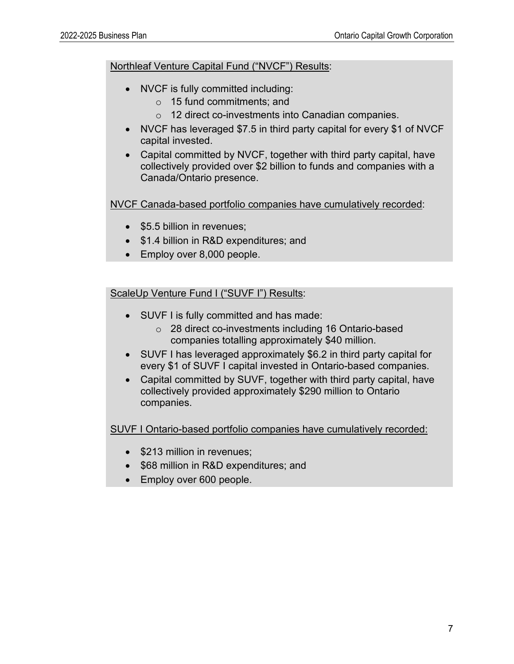#### Northleaf Venture Capital Fund ("NVCF") Results:

- NVCF is fully committed including:
	- o 15 fund commitments; and
	- o 12 direct co-investments into Canadian companies.
- NVCF has leveraged \$7.5 in third party capital for every \$1 of NVCF capital invested.
- Capital committed by NVCF, together with third party capital, have collectively provided over \$2 billion to funds and companies with a Canada/Ontario presence.

NVCF Canada-based portfolio companies have cumulatively recorded:

- \$5.5 billion in revenues:
- \$1.4 billion in R&D expenditures; and
- Employ over 8,000 people.

ScaleUp Venture Fund I ("SUVF I") Results:

- SUVF I is fully committed and has made:
	- o 28 direct co-investments including 16 Ontario-based companies totalling approximately \$40 million.
- SUVF I has leveraged approximately \$6.2 in third party capital for every \$1 of SUVF I capital invested in Ontario-based companies.
- Capital committed by SUVF, together with third party capital, have collectively provided approximately \$290 million to Ontario companies.

SUVF I Ontario-based portfolio companies have cumulatively recorded:

- \$213 million in revenues;
- \$68 million in R&D expenditures; and
- Employ over 600 people.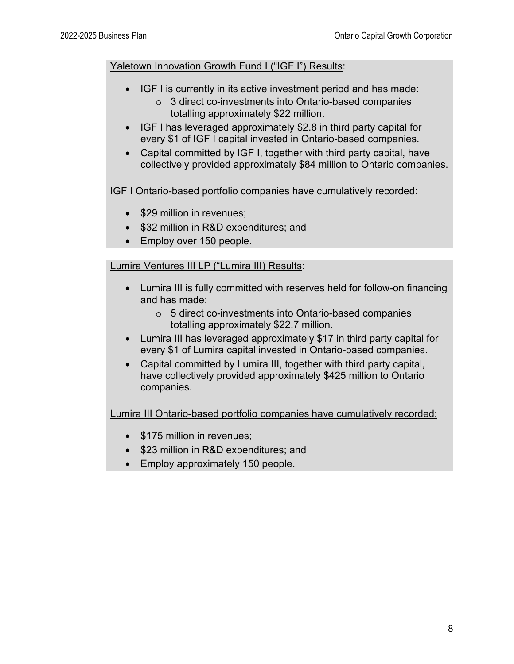#### Yaletown Innovation Growth Fund I ("IGF I") Results:

- IGF I is currently in its active investment period and has made:
	- o 3 direct co-investments into Ontario-based companies totalling approximately \$22 million.
- IGF I has leveraged approximately \$2.8 in third party capital for every \$1 of IGF I capital invested in Ontario-based companies.
- Capital committed by IGF I, together with third party capital, have collectively provided approximately \$84 million to Ontario companies.

IGF I Ontario-based portfolio companies have cumulatively recorded:

- \$29 million in revenues;
- \$32 million in R&D expenditures; and
- Employ over 150 people.

## Lumira Ventures III LP ("Lumira III) Results:

- Lumira III is fully committed with reserves held for follow-on financing and has made:
	- o 5 direct co-investments into Ontario-based companies totalling approximately \$22.7 million.
- Lumira III has leveraged approximately \$17 in third party capital for every \$1 of Lumira capital invested in Ontario-based companies.
- Capital committed by Lumira III, together with third party capital, have collectively provided approximately \$425 million to Ontario companies.

Lumira III Ontario-based portfolio companies have cumulatively recorded:

- \$175 million in revenues;
- \$23 million in R&D expenditures; and
- Employ approximately 150 people.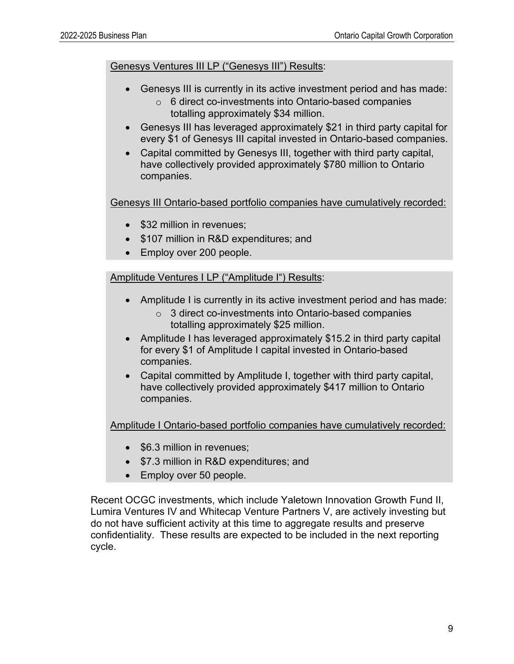Genesys Ventures III LP ("Genesys III") Results:

- Genesys III is currently in its active investment period and has made:
	- o 6 direct co-investments into Ontario-based companies totalling approximately \$34 million.
- Genesys III has leveraged approximately \$21 in third party capital for every \$1 of Genesys III capital invested in Ontario-based companies.
- Capital committed by Genesys III, together with third party capital, have collectively provided approximately \$780 million to Ontario companies.

Genesys III Ontario-based portfolio companies have cumulatively recorded:

- \$32 million in revenues;
- \$107 million in R&D expenditures; and
- Employ over 200 people.

Amplitude Ventures I LP ("Amplitude I") Results:

- Amplitude I is currently in its active investment period and has made:
	- o 3 direct co-investments into Ontario-based companies totalling approximately \$25 million.
- Amplitude I has leveraged approximately \$15.2 in third party capital for every \$1 of Amplitude I capital invested in Ontario-based companies.
- Capital committed by Amplitude I, together with third party capital, have collectively provided approximately \$417 million to Ontario companies.

Amplitude I Ontario-based portfolio companies have cumulatively recorded:

- \$6.3 million in revenues;
- \$7.3 million in R&D expenditures; and
- Employ over 50 people.

Recent OCGC investments, which include Yaletown Innovation Growth Fund II, Lumira Ventures IV and Whitecap Venture Partners V, are actively investing but do not have sufficient activity at this time to aggregate results and preserve confidentiality. These results are expected to be included in the next reporting cycle.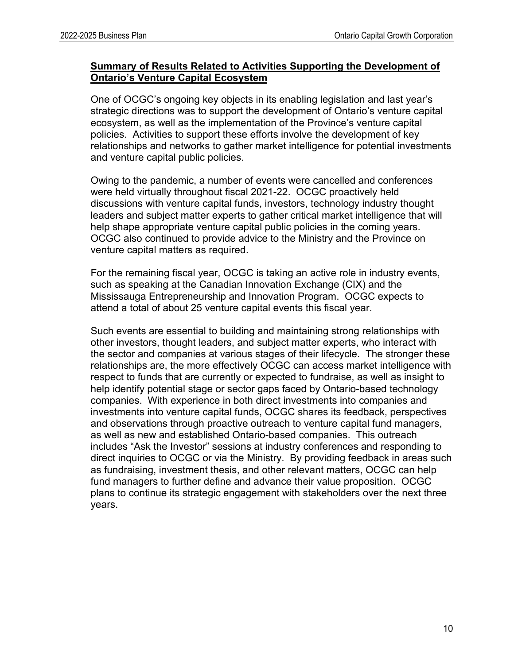#### **Summary of Results Related to Activities Supporting the Development of Ontario's Venture Capital Ecosystem**

One of OCGC's ongoing key objects in its enabling legislation and last year's strategic directions was to support the development of Ontario's venture capital ecosystem, as well as the implementation of the Province's venture capital policies. Activities to support these efforts involve the development of key relationships and networks to gather market intelligence for potential investments and venture capital public policies.

Owing to the pandemic, a number of events were cancelled and conferences were held virtually throughout fiscal 2021-22. OCGC proactively held discussions with venture capital funds, investors, technology industry thought leaders and subject matter experts to gather critical market intelligence that will help shape appropriate venture capital public policies in the coming years. OCGC also continued to provide advice to the Ministry and the Province on venture capital matters as required.

For the remaining fiscal year, OCGC is taking an active role in industry events, such as speaking at the Canadian Innovation Exchange (CIX) and the Mississauga Entrepreneurship and Innovation Program. OCGC expects to attend a total of about 25 venture capital events this fiscal year.

Such events are essential to building and maintaining strong relationships with other investors, thought leaders, and subject matter experts, who interact with the sector and companies at various stages of their lifecycle. The stronger these relationships are, the more effectively OCGC can access market intelligence with respect to funds that are currently or expected to fundraise, as well as insight to help identify potential stage or sector gaps faced by Ontario-based technology companies. With experience in both direct investments into companies and investments into venture capital funds, OCGC shares its feedback, perspectives and observations through proactive outreach to venture capital fund managers, as well as new and established Ontario-based companies. This outreach includes "Ask the Investor" sessions at industry conferences and responding to direct inquiries to OCGC or via the Ministry. By providing feedback in areas such as fundraising, investment thesis, and other relevant matters, OCGC can help fund managers to further define and advance their value proposition. OCGC plans to continue its strategic engagement with stakeholders over the next three years.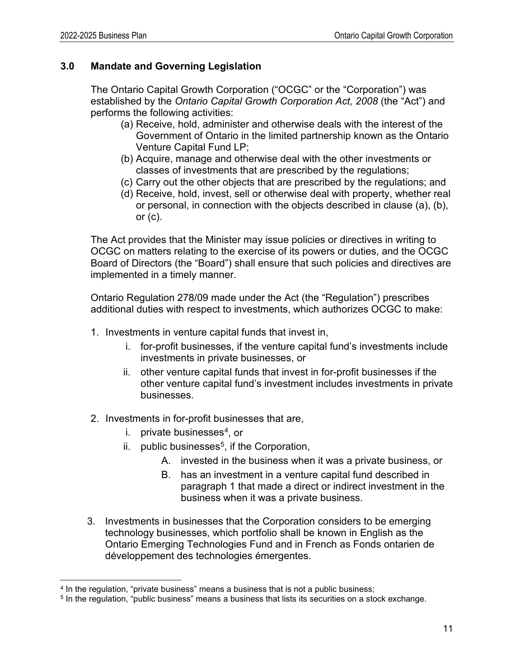## <span id="page-10-0"></span>**3.0 Mandate and Governing Legislation**

The Ontario Capital Growth Corporation ("OCGC" or the "Corporation") was established by the *Ontario Capital Growth Corporation Act, 2008* (the "Act") and performs the following activities:

- (a) Receive, hold, administer and otherwise deals with the interest of the Government of Ontario in the limited partnership known as the Ontario Venture Capital Fund LP;
- (b) Acquire, manage and otherwise deal with the other investments or classes of investments that are prescribed by the regulations;
- (c) Carry out the other objects that are prescribed by the regulations; and
- (d) Receive, hold, invest, sell or otherwise deal with property, whether real or personal, in connection with the objects described in clause (a), (b), or  $(c)$ .

The Act provides that the Minister may issue policies or directives in writing to OCGC on matters relating to the exercise of its powers or duties, and the OCGC Board of Directors (the "Board") shall ensure that such policies and directives are implemented in a timely manner.

Ontario Regulation 278/09 made under the Act (the "Regulation") prescribes additional duties with respect to investments, which authorizes OCGC to make:

- 1. Investments in venture capital funds that invest in,
	- i. for-profit businesses, if the venture capital fund's investments include investments in private businesses, or
	- ii. other venture capital funds that invest in for-profit businesses if the other venture capital fund's investment includes investments in private businesses.
- 2. Investments in for-profit businesses that are,
	- i. private businesses $4$ , or
	- ii. public businesses<sup>[5](#page-10-2)</sup>, if the Corporation,
		- A. invested in the business when it was a private business, or
		- B. has an investment in a venture capital fund described in paragraph 1 that made a direct or indirect investment in the business when it was a private business.
- 3. Investments in businesses that the Corporation considers to be emerging technology businesses, which portfolio shall be known in English as the Ontario Emerging Technologies Fund and in French as Fonds ontarien de développement des technologies émergentes.

<span id="page-10-1"></span><sup>&</sup>lt;sup>4</sup> In the regulation, "private business" means a business that is not a public business;

<span id="page-10-2"></span><sup>5</sup> In the regulation, "public business" means a business that lists its securities on a stock exchange.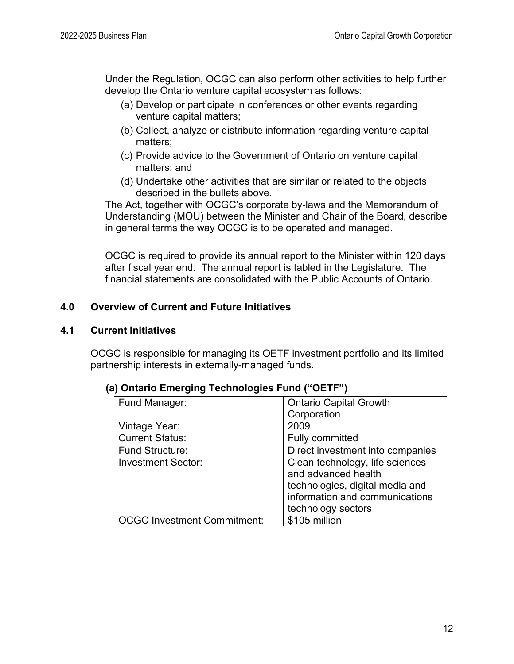Under the Regulation, OCGC can also perform other activities to help further develop the Ontario venture capital ecosystem as follows:

- (a) Develop or participate in conferences or other events regarding venture capital matters;
- (b) Collect, analyze or distribute information regarding venture capital matters;
- (c) Provide advice to the Government of Ontario on venture capital matters; and
- (d) Undertake other activities that are similar or related to the objects described in the bullets above.

The Act, together with OCGC's corporate by-laws and the Memorandum of Understanding (MOU) between the Minister and Chair of the Board, describe in general terms the way OCGC is to be operated and managed.

OCGC is required to provide its annual report to the Minister within 120 days after fiscal year end. The annual report is tabled in the Legislature. The financial statements are consolidated with the Public Accounts of Ontario.

## <span id="page-11-0"></span>**4.0 Overview of Current and Future Initiatives**

#### **4.1 Current Initiatives**

OCGC is responsible for managing its OETF investment portfolio and its limited partnership interests in externally-managed funds.

| Fund Manager:                      | <b>Ontario Capital Growth</b>    |
|------------------------------------|----------------------------------|
|                                    | Corporation                      |
| Vintage Year:                      | 2009                             |
| <b>Current Status:</b>             | <b>Fully committed</b>           |
| <b>Fund Structure:</b>             | Direct investment into companies |
| <b>Investment Sector:</b>          | Clean technology, life sciences  |
|                                    | and advanced health              |
|                                    | technologies, digital media and  |
|                                    | information and communications   |
|                                    | technology sectors               |
| <b>OCGC Investment Commitment:</b> | \$105 million                    |

#### **(a) Ontario Emerging Technologies Fund ("OETF")**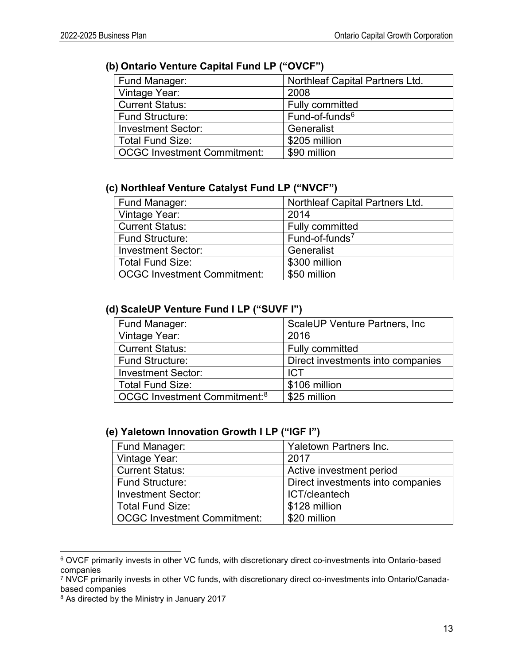# **(b) Ontario Venture Capital Fund LP ("OVCF")**

| Fund Manager:                      | <b>Northleaf Capital Partners Ltd.</b> |
|------------------------------------|----------------------------------------|
| Vintage Year:                      | 2008                                   |
| <b>Current Status:</b>             | <b>Fully committed</b>                 |
| <b>Fund Structure:</b>             | Fund-of-funds <sup>6</sup>             |
| <b>Investment Sector:</b>          | Generalist                             |
| <b>Total Fund Size:</b>            | \$205 million                          |
| <b>OCGC Investment Commitment:</b> | \$90 million                           |

## **(c) Northleaf Venture Catalyst Fund LP ("NVCF")**

| Fund Manager:                      | <b>Northleaf Capital Partners Ltd.</b> |
|------------------------------------|----------------------------------------|
| Vintage Year:                      | 2014                                   |
| <b>Current Status:</b>             | Fully committed                        |
| <b>Fund Structure:</b>             | Fund-of-funds <sup>7</sup>             |
| <b>Investment Sector:</b>          | Generalist                             |
| <b>Total Fund Size:</b>            | \$300 million                          |
| <b>OCGC Investment Commitment:</b> | \$50 million                           |

#### **(d) ScaleUP Venture Fund I LP ("SUVF I")**

| Fund Manager:                            | ScaleUP Venture Partners, Inc.    |
|------------------------------------------|-----------------------------------|
| Vintage Year:                            | 2016                              |
| <b>Current Status:</b>                   | <b>Fully committed</b>            |
| <b>Fund Structure:</b>                   | Direct investments into companies |
| <b>Investment Sector:</b>                | <b>ICT</b>                        |
| <b>Total Fund Size:</b>                  | \$106 million                     |
| OCGC Investment Commitment: <sup>8</sup> | \$25 million                      |

#### **(e) Yaletown Innovation Growth I LP ("IGF I")**

| <b>Yaletown Partners Inc.</b>     |
|-----------------------------------|
| 2017                              |
| Active investment period          |
| Direct investments into companies |
| ICT/cleantech                     |
| \$128 million                     |
| \$20 million                      |
|                                   |

<span id="page-12-0"></span><sup>6</sup> OVCF primarily invests in other VC funds, with discretionary direct co-investments into Ontario-based companies

<span id="page-12-1"></span><sup>7</sup> NVCF primarily invests in other VC funds, with discretionary direct co-investments into Ontario/Canadabased companies

<span id="page-12-2"></span><sup>8</sup> As directed by the Ministry in January 2017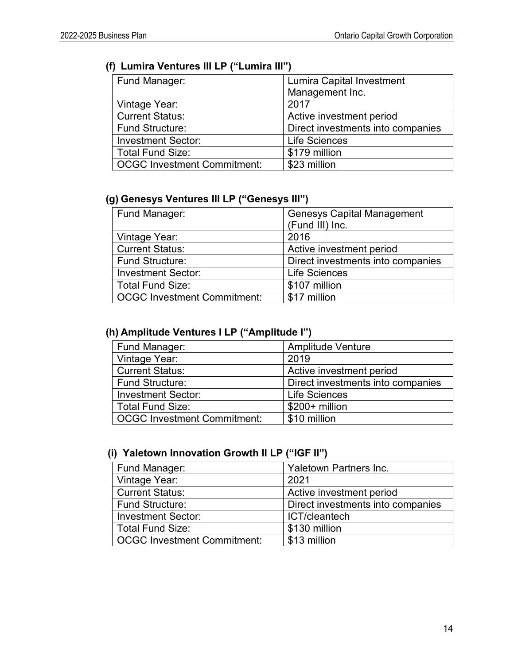# **(f) Lumira Ventures III LP ("Lumira III")**

| Fund Manager:               | <b>Lumira Capital Investment</b>  |
|-----------------------------|-----------------------------------|
|                             | Management Inc.                   |
| Vintage Year:               | 2017                              |
| <b>Current Status:</b>      | Active investment period          |
| <b>Fund Structure:</b>      | Direct investments into companies |
| <b>Investment Sector:</b>   | <b>Life Sciences</b>              |
| <b>Total Fund Size:</b>     | \$179 million                     |
| OCGC Investment Commitment: | \$23 million                      |

## **(g) Genesys Ventures III LP ("Genesys III")**

| Fund Manager:                      | <b>Genesys Capital Management</b><br>(Fund III) Inc. |
|------------------------------------|------------------------------------------------------|
|                                    |                                                      |
| Vintage Year:                      | 2016                                                 |
| <b>Current Status:</b>             | Active investment period                             |
| <b>Fund Structure:</b>             | Direct investments into companies                    |
| <b>Investment Sector:</b>          | <b>Life Sciences</b>                                 |
| <b>Total Fund Size:</b>            | \$107 million                                        |
| <b>OCGC Investment Commitment:</b> | \$17 million                                         |

# **(h) Amplitude Ventures I LP ("Amplitude I")**

| Fund Manager:                      | <b>Amplitude Venture</b>          |
|------------------------------------|-----------------------------------|
| Vintage Year:                      | 2019                              |
| <b>Current Status:</b>             | Active investment period          |
| <b>Fund Structure:</b>             | Direct investments into companies |
| <b>Investment Sector:</b>          | <b>Life Sciences</b>              |
| <b>Total Fund Size:</b>            | $$200+$ million                   |
| <b>OCGC Investment Commitment:</b> | \$10 million                      |

# **(i) Yaletown Innovation Growth II LP ("IGF II")**

| Fund Manager:                      | Yaletown Partners Inc.            |
|------------------------------------|-----------------------------------|
| Vintage Year:                      | 2021                              |
| <b>Current Status:</b>             | Active investment period          |
| <b>Fund Structure:</b>             | Direct investments into companies |
| <b>Investment Sector:</b>          | ICT/cleantech                     |
| <b>Total Fund Size:</b>            | \$130 million                     |
| <b>OCGC Investment Commitment:</b> | \$13 million                      |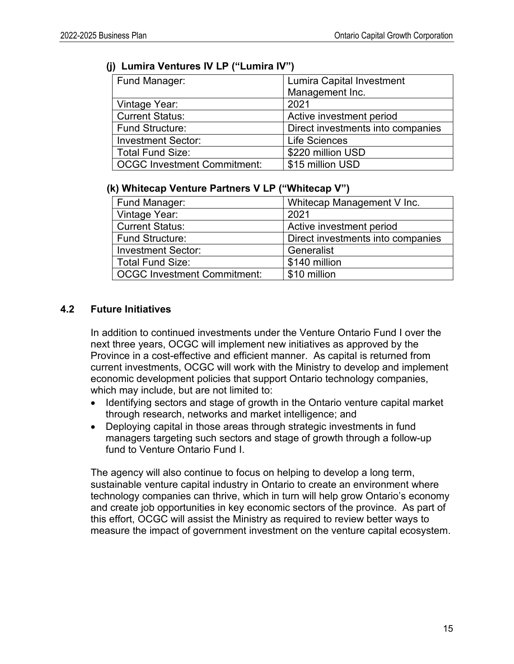| Fund Manager:               | <b>Lumira Capital Investment</b>  |
|-----------------------------|-----------------------------------|
|                             | Management Inc.                   |
| Vintage Year:               | 2021                              |
| <b>Current Status:</b>      | Active investment period          |
| Fund Structure:             | Direct investments into companies |
| <b>Investment Sector:</b>   | <b>Life Sciences</b>              |
| Total Fund Size:            | \$220 million USD                 |
| OCGC Investment Commitment: | \$15 million USD                  |

#### **(j) Lumira Ventures IV LP ("Lumira IV")**

#### **(k) Whitecap Venture Partners V LP ("Whitecap V")**

| Fund Manager:                      | Whitecap Management V Inc.        |
|------------------------------------|-----------------------------------|
| Vintage Year:                      | 2021                              |
| <b>Current Status:</b>             | Active investment period          |
| <b>Fund Structure:</b>             | Direct investments into companies |
| <b>Investment Sector:</b>          | Generalist                        |
| <b>Total Fund Size:</b>            | \$140 million                     |
| <b>OCGC Investment Commitment:</b> | \$10 million                      |

## **4.2 Future Initiatives**

In addition to continued investments under the Venture Ontario Fund I over the next three years, OCGC will implement new initiatives as approved by the Province in a cost-effective and efficient manner. As capital is returned from current investments, OCGC will work with the Ministry to develop and implement economic development policies that support Ontario technology companies, which may include, but are not limited to:

- Identifying sectors and stage of growth in the Ontario venture capital market through research, networks and market intelligence; and
- Deploying capital in those areas through strategic investments in fund managers targeting such sectors and stage of growth through a follow-up fund to Venture Ontario Fund I.

The agency will also continue to focus on helping to develop a long term, sustainable venture capital industry in Ontario to create an environment where technology companies can thrive, which in turn will help grow Ontario's economy and create job opportunities in key economic sectors of the province. As part of this effort, OCGC will assist the Ministry as required to review better ways to measure the impact of government investment on the venture capital ecosystem.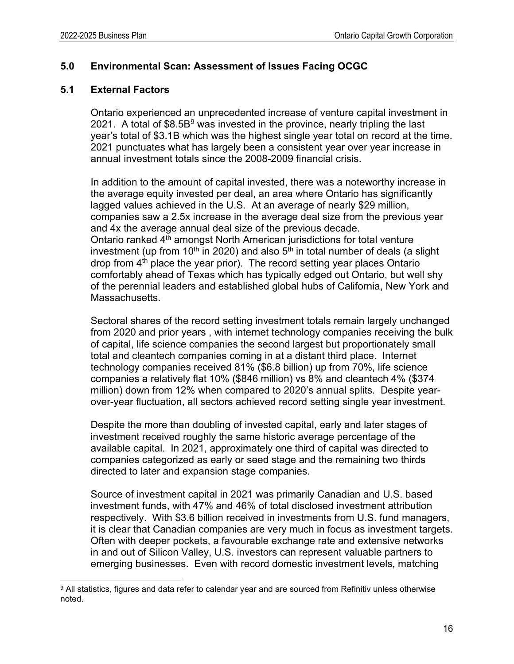## <span id="page-15-0"></span>**5.0 Environmental Scan: Assessment of Issues Facing OCGC**

## **5.1 External Factors**

Ontario experienced an unprecedented increase of venture capital investment in 2021. A total of  $$8.5B<sup>9</sup>$  $$8.5B<sup>9</sup>$  $$8.5B<sup>9</sup>$  was invested in the province, nearly tripling the last year's total of \$3.1B which was the highest single year total on record at the time. 2021 punctuates what has largely been a consistent year over year increase in annual investment totals since the 2008-2009 financial crisis.

In addition to the amount of capital invested, there was a noteworthy increase in the average equity invested per deal, an area where Ontario has significantly lagged values achieved in the U.S. At an average of nearly \$29 million, companies saw a 2.5x increase in the average deal size from the previous year and 4x the average annual deal size of the previous decade. Ontario ranked 4<sup>th</sup> amongst North American jurisdictions for total venture investment (up from 10<sup>th</sup> in 2020) and also  $5<sup>th</sup>$  in total number of deals (a slight drop from 4<sup>th</sup> place the year prior). The record setting year places Ontario comfortably ahead of Texas which has typically edged out Ontario, but well shy of the perennial leaders and established global hubs of California, New York and Massachusetts.

Sectoral shares of the record setting investment totals remain largely unchanged from 2020 and prior years , with internet technology companies receiving the bulk of capital, life science companies the second largest but proportionately small total and cleantech companies coming in at a distant third place. Internet technology companies received 81% (\$6.8 billion) up from 70%, life science companies a relatively flat 10% (\$846 million) vs 8% and cleantech 4% (\$374 million) down from 12% when compared to 2020's annual splits. Despite yearover-year fluctuation, all sectors achieved record setting single year investment.

Despite the more than doubling of invested capital, early and later stages of investment received roughly the same historic average percentage of the available capital. In 2021, approximately one third of capital was directed to companies categorized as early or seed stage and the remaining two thirds directed to later and expansion stage companies.

Source of investment capital in 2021 was primarily Canadian and U.S. based investment funds, with 47% and 46% of total disclosed investment attribution respectively. With \$3.6 billion received in investments from U.S. fund managers, it is clear that Canadian companies are very much in focus as investment targets. Often with deeper pockets, a favourable exchange rate and extensive networks in and out of Silicon Valley, U.S. investors can represent valuable partners to emerging businesses. Even with record domestic investment levels, matching

<span id="page-15-1"></span><sup>9</sup> All statistics, figures and data refer to calendar year and are sourced from Refinitiv unless otherwise noted.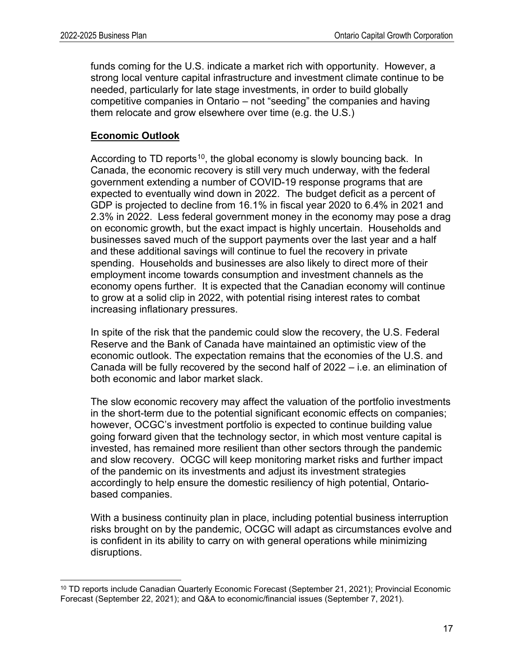funds coming for the U.S. indicate a market rich with opportunity. However, a strong local venture capital infrastructure and investment climate continue to be needed, particularly for late stage investments, in order to build globally competitive companies in Ontario – not "seeding" the companies and having them relocate and grow elsewhere over time (e.g. the U.S.)

## **Economic Outlook**

According to TD reports<sup>[10](#page-16-0)</sup>, the global economy is slowly bouncing back. In Canada, the economic recovery is still very much underway, with the federal government extending a number of COVID-19 response programs that are expected to eventually wind down in 2022. The budget deficit as a percent of GDP is projected to decline from 16.1% in fiscal year 2020 to 6.4% in 2021 and 2.3% in 2022. Less federal government money in the economy may pose a drag on economic growth, but the exact impact is highly uncertain. Households and businesses saved much of the support payments over the last year and a half and these additional savings will continue to fuel the recovery in private spending. Households and businesses are also likely to direct more of their employment income towards consumption and investment channels as the economy opens further. It is expected that the Canadian economy will continue to grow at a solid clip in 2022, with potential rising interest rates to combat increasing inflationary pressures.

In spite of the risk that the pandemic could slow the recovery, the U.S. Federal Reserve and the Bank of Canada have maintained an optimistic view of the economic outlook. The expectation remains that the economies of the U.S. and Canada will be fully recovered by the second half of 2022 – i.e. an elimination of both economic and labor market slack.

The slow economic recovery may affect the valuation of the portfolio investments in the short-term due to the potential significant economic effects on companies; however, OCGC's investment portfolio is expected to continue building value going forward given that the technology sector, in which most venture capital is invested, has remained more resilient than other sectors through the pandemic and slow recovery. OCGC will keep monitoring market risks and further impact of the pandemic on its investments and adjust its investment strategies accordingly to help ensure the domestic resiliency of high potential, Ontariobased companies.

With a business continuity plan in place, including potential business interruption risks brought on by the pandemic, OCGC will adapt as circumstances evolve and is confident in its ability to carry on with general operations while minimizing disruptions.

<span id="page-16-0"></span><sup>&</sup>lt;sup>10</sup> TD reports include Canadian Quarterly Economic Forecast (September 21, 2021); Provincial Economic Forecast (September 22, 2021); and Q&A to economic/financial issues (September 7, 2021).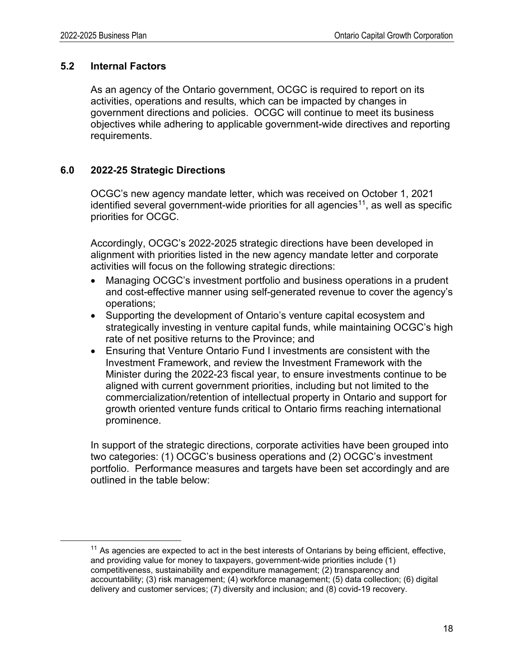## **5.2 Internal Factors**

As an agency of the Ontario government, OCGC is required to report on its activities, operations and results, which can be impacted by changes in government directions and policies. OCGC will continue to meet its business objectives while adhering to applicable government-wide directives and reporting requirements.

## <span id="page-17-0"></span>**6.0 2022-25 Strategic Directions**

OCGC's new agency mandate letter, which was received on October 1, 2021 identified several government-wide priorities for all agencies<sup>11</sup>, as well as specific priorities for OCGC.

Accordingly, OCGC's 2022-2025 strategic directions have been developed in alignment with priorities listed in the new agency mandate letter and corporate activities will focus on the following strategic directions:

- Managing OCGC's investment portfolio and business operations in a prudent and cost-effective manner using self-generated revenue to cover the agency's operations;
- Supporting the development of Ontario's venture capital ecosystem and strategically investing in venture capital funds, while maintaining OCGC's high rate of net positive returns to the Province; and
- Ensuring that Venture Ontario Fund I investments are consistent with the Investment Framework, and review the Investment Framework with the Minister during the 2022-23 fiscal year, to ensure investments continue to be aligned with current government priorities, including but not limited to the commercialization/retention of intellectual property in Ontario and support for growth oriented venture funds critical to Ontario firms reaching international prominence.

In support of the strategic directions, corporate activities have been grouped into two categories: (1) OCGC's business operations and (2) OCGC's investment portfolio. Performance measures and targets have been set accordingly and are outlined in the table below:

<span id="page-17-1"></span> $11$  As agencies are expected to act in the best interests of Ontarians by being efficient, effective, and providing value for money to taxpayers, government-wide priorities include (1) competitiveness, sustainability and expenditure management; (2) transparency and accountability; (3) risk management; (4) workforce management; (5) data collection; (6) digital delivery and customer services; (7) diversity and inclusion; and (8) covid-19 recovery.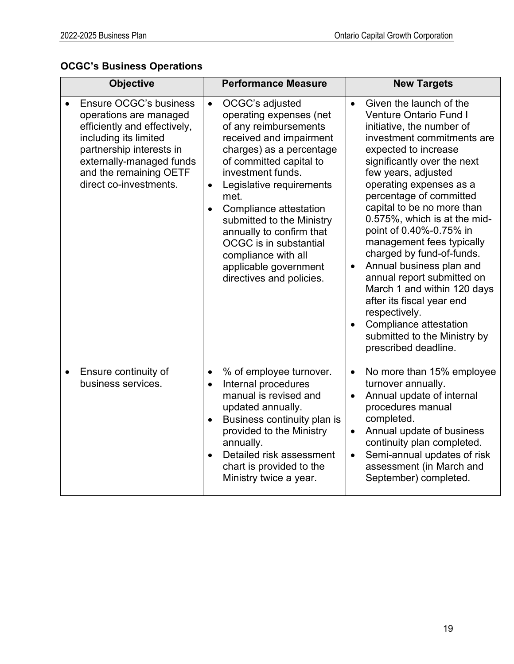# **OCGC's Business Operations**

| <b>Objective</b> |                                                                                                                                                                                                                       |                                                  | <b>Performance Measure</b>                                                                                                                                                                                                                                                                                                                                                                                     | <b>New Targets</b>                               |                                                                                                                                                                                                                                                                                                                                                                                                                                                                                                                                                                                                                                     |  |  |
|------------------|-----------------------------------------------------------------------------------------------------------------------------------------------------------------------------------------------------------------------|--------------------------------------------------|----------------------------------------------------------------------------------------------------------------------------------------------------------------------------------------------------------------------------------------------------------------------------------------------------------------------------------------------------------------------------------------------------------------|--------------------------------------------------|-------------------------------------------------------------------------------------------------------------------------------------------------------------------------------------------------------------------------------------------------------------------------------------------------------------------------------------------------------------------------------------------------------------------------------------------------------------------------------------------------------------------------------------------------------------------------------------------------------------------------------------|--|--|
|                  | Ensure OCGC's business<br>operations are managed<br>efficiently and effectively,<br>including its limited<br>partnership interests in<br>externally-managed funds<br>and the remaining OETF<br>direct co-investments. | $\bullet$<br>$\bullet$<br>$\bullet$              | OCGC's adjusted<br>operating expenses (net<br>of any reimbursements<br>received and impairment<br>charges) as a percentage<br>of committed capital to<br>investment funds.<br>Legislative requirements<br>met.<br>Compliance attestation<br>submitted to the Ministry<br>annually to confirm that<br><b>OCGC</b> is in substantial<br>compliance with all<br>applicable government<br>directives and policies. | $\bullet$<br>$\bullet$                           | Given the launch of the<br><b>Venture Ontario Fund I</b><br>initiative, the number of<br>investment commitments are<br>expected to increase<br>significantly over the next<br>few years, adjusted<br>operating expenses as a<br>percentage of committed<br>capital to be no more than<br>0.575%, which is at the mid-<br>point of 0.40%-0.75% in<br>management fees typically<br>charged by fund-of-funds.<br>Annual business plan and<br>annual report submitted on<br>March 1 and within 120 days<br>after its fiscal year end<br>respectively.<br>Compliance attestation<br>submitted to the Ministry by<br>prescribed deadline. |  |  |
| $\bullet$        | Ensure continuity of<br>business services.                                                                                                                                                                            | $\bullet$<br>$\bullet$<br>$\bullet$<br>$\bullet$ | % of employee turnover.<br>Internal procedures<br>manual is revised and<br>updated annually.<br>Business continuity plan is<br>provided to the Ministry<br>annually.<br>Detailed risk assessment<br>chart is provided to the<br>Ministry twice a year.                                                                                                                                                         | $\bullet$<br>$\bullet$<br>$\bullet$<br>$\bullet$ | No more than 15% employee<br>turnover annually.<br>Annual update of internal<br>procedures manual<br>completed.<br>Annual update of business<br>continuity plan completed.<br>Semi-annual updates of risk<br>assessment (in March and<br>September) completed.                                                                                                                                                                                                                                                                                                                                                                      |  |  |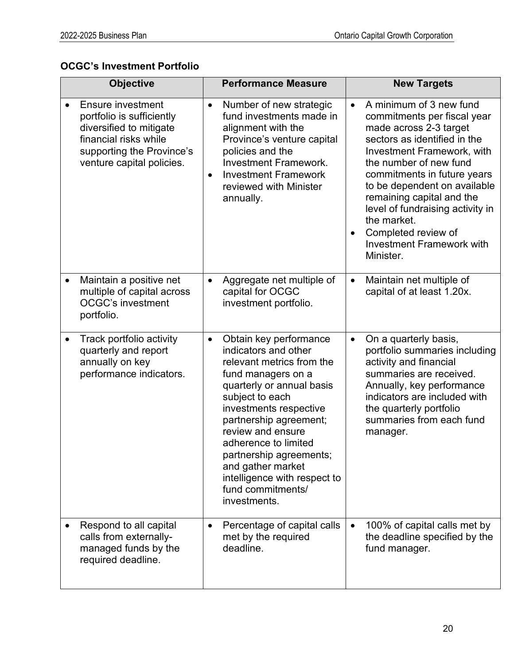## **OCGC's Investment Portfolio**

| <b>Objective</b>                                                                                                                                                    | <b>Performance Measure</b>                                                                                                                                                                                                                                                                                                                                                           | <b>New Targets</b>                                                                                                                                                                                                                                                                                                                                                                                                               |  |  |  |
|---------------------------------------------------------------------------------------------------------------------------------------------------------------------|--------------------------------------------------------------------------------------------------------------------------------------------------------------------------------------------------------------------------------------------------------------------------------------------------------------------------------------------------------------------------------------|----------------------------------------------------------------------------------------------------------------------------------------------------------------------------------------------------------------------------------------------------------------------------------------------------------------------------------------------------------------------------------------------------------------------------------|--|--|--|
| <b>Ensure investment</b><br>portfolio is sufficiently<br>diversified to mitigate<br>financial risks while<br>supporting the Province's<br>venture capital policies. | Number of new strategic<br>$\bullet$<br>fund investments made in<br>alignment with the<br>Province's venture capital<br>policies and the<br><b>Investment Framework.</b><br><b>Investment Framework</b><br>$\bullet$<br>reviewed with Minister<br>annually.                                                                                                                          | A minimum of 3 new fund<br>$\bullet$<br>commitments per fiscal year<br>made across 2-3 target<br>sectors as identified in the<br><b>Investment Framework, with</b><br>the number of new fund<br>commitments in future years<br>to be dependent on available<br>remaining capital and the<br>level of fundraising activity in<br>the market.<br>Completed review of<br>$\bullet$<br><b>Investment Framework with</b><br>Minister. |  |  |  |
| Maintain a positive net<br>$\bullet$<br>multiple of capital across<br><b>OCGC's investment</b><br>portfolio.                                                        | Aggregate net multiple of<br>$\bullet$<br>capital for OCGC<br>investment portfolio.                                                                                                                                                                                                                                                                                                  | Maintain net multiple of<br>$\bullet$<br>capital of at least 1.20x.                                                                                                                                                                                                                                                                                                                                                              |  |  |  |
| Track portfolio activity<br>$\bullet$<br>quarterly and report<br>annually on key<br>performance indicators.                                                         | Obtain key performance<br>$\bullet$<br>indicators and other<br>relevant metrics from the<br>fund managers on a<br>quarterly or annual basis<br>subject to each<br>investments respective<br>partnership agreement;<br>review and ensure<br>adherence to limited<br>partnership agreements;<br>and gather market<br>intelligence with respect to<br>fund commitments/<br>investments. | On a quarterly basis,<br>$\bullet$<br>portfolio summaries including<br>activity and financial<br>summaries are received.<br>Annually, key performance<br>indicators are included with<br>the quarterly portfolio<br>summaries from each fund<br>manager.                                                                                                                                                                         |  |  |  |
| Respond to all capital<br>calls from externally-<br>managed funds by the<br>required deadline.                                                                      | Percentage of capital calls<br>$\bullet$<br>met by the required<br>deadline.                                                                                                                                                                                                                                                                                                         | 100% of capital calls met by<br>$\bullet$<br>the deadline specified by the<br>fund manager.                                                                                                                                                                                                                                                                                                                                      |  |  |  |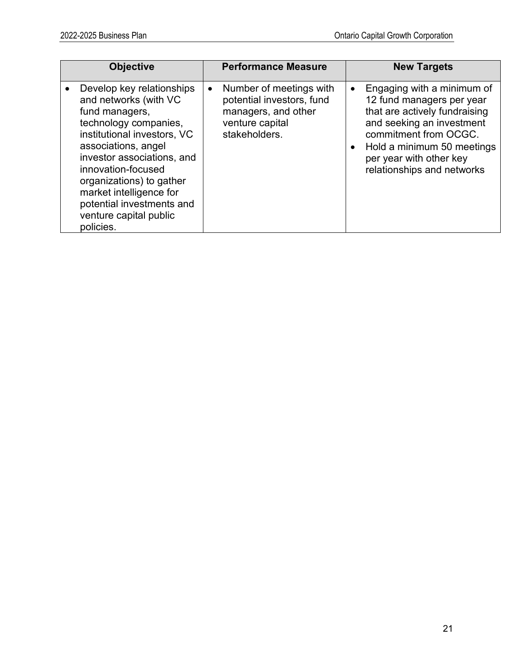| <b>Objective</b>                                                                                                                                                                                                                                                                                                                   | <b>Performance Measure</b>                                                                                                   | <b>New Targets</b>                                                                                                                                                                                                                                              |
|------------------------------------------------------------------------------------------------------------------------------------------------------------------------------------------------------------------------------------------------------------------------------------------------------------------------------------|------------------------------------------------------------------------------------------------------------------------------|-----------------------------------------------------------------------------------------------------------------------------------------------------------------------------------------------------------------------------------------------------------------|
| Develop key relationships<br>and networks (with VC<br>fund managers,<br>technology companies,<br>institutional investors, VC<br>associations, angel<br>investor associations, and<br>innovation-focused<br>organizations) to gather<br>market intelligence for<br>potential investments and<br>venture capital public<br>policies. | Number of meetings with<br>$\bullet$<br>potential investors, fund<br>managers, and other<br>venture capital<br>stakeholders. | Engaging with a minimum of<br>$\bullet$<br>12 fund managers per year<br>that are actively fundraising<br>and seeking an investment<br>commitment from OCGC.<br>Hold a minimum 50 meetings<br>$\bullet$<br>per year with other key<br>relationships and networks |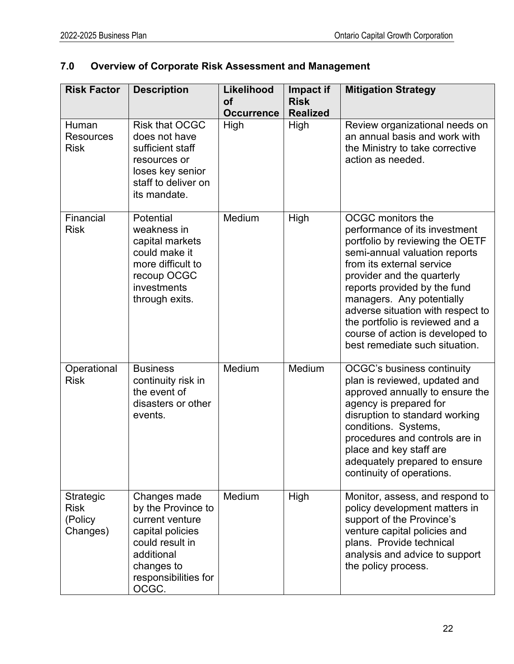# <span id="page-21-0"></span>**7.0 Overview of Corporate Risk Assessment and Management**

| <b>Risk Factor</b>                                     | <b>Description</b>                                                                                                                                        | Likelihood<br><b>of</b><br><b>Occurrence</b> | Impact if<br><b>Risk</b><br><b>Realized</b> | <b>Mitigation Strategy</b>                                                                                                                                                                                                                                                                                                                                                                          |
|--------------------------------------------------------|-----------------------------------------------------------------------------------------------------------------------------------------------------------|----------------------------------------------|---------------------------------------------|-----------------------------------------------------------------------------------------------------------------------------------------------------------------------------------------------------------------------------------------------------------------------------------------------------------------------------------------------------------------------------------------------------|
| Human<br><b>Resources</b><br><b>Risk</b>               | <b>Risk that OCGC</b><br>does not have<br>sufficient staff<br>resources or<br>loses key senior<br>staff to deliver on<br>its mandate.                     | High                                         | High                                        | Review organizational needs on<br>an annual basis and work with<br>the Ministry to take corrective<br>action as needed.                                                                                                                                                                                                                                                                             |
| Financial<br><b>Risk</b>                               | Potential<br>weakness in<br>capital markets<br>could make it<br>more difficult to<br>recoup OCGC<br>investments<br>through exits.                         | Medium                                       | High                                        | <b>OCGC</b> monitors the<br>performance of its investment<br>portfolio by reviewing the OETF<br>semi-annual valuation reports<br>from its external service<br>provider and the quarterly<br>reports provided by the fund<br>managers. Any potentially<br>adverse situation with respect to<br>the portfolio is reviewed and a<br>course of action is developed to<br>best remediate such situation. |
| Operational<br><b>Risk</b>                             | <b>Business</b><br>continuity risk in<br>the event of<br>disasters or other<br>events.                                                                    | Medium                                       | Medium                                      | OCGC's business continuity<br>plan is reviewed, updated and<br>approved annually to ensure the<br>agency is prepared for<br>disruption to standard working<br>conditions. Systems,<br>procedures and controls are in<br>place and key staff are<br>adequately prepared to ensure<br>continuity of operations.                                                                                       |
| <b>Strategic</b><br><b>Risk</b><br>(Policy<br>Changes) | Changes made<br>by the Province to<br>current venture<br>capital policies<br>could result in<br>additional<br>changes to<br>responsibilities for<br>OCGC. | Medium                                       | High                                        | Monitor, assess, and respond to<br>policy development matters in<br>support of the Province's<br>venture capital policies and<br>plans. Provide technical<br>analysis and advice to support<br>the policy process.                                                                                                                                                                                  |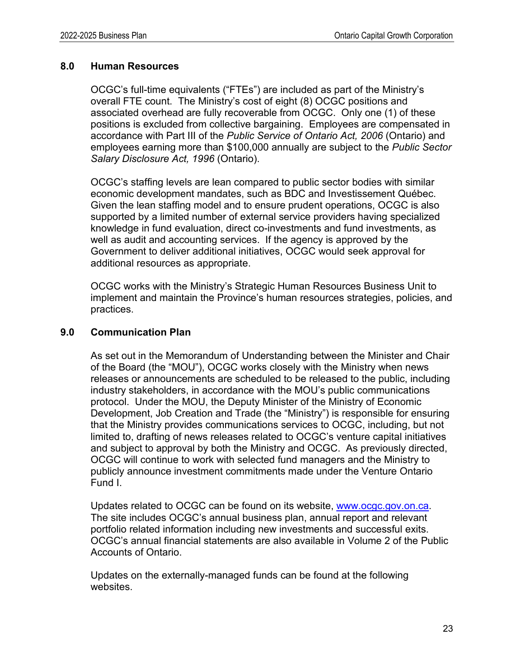#### <span id="page-22-0"></span>**8.0 Human Resources**

OCGC's full-time equivalents ("FTEs") are included as part of the Ministry's overall FTE count. The Ministry's cost of eight (8) OCGC positions and associated overhead are fully recoverable from OCGC. Only one (1) of these positions is excluded from collective bargaining. Employees are compensated in accordance with Part III of the *Public Service of Ontario Act, 2006* (Ontario) and employees earning more than \$100,000 annually are subject to the *Public Sector Salary Disclosure Act, 1996* (Ontario).

OCGC's staffing levels are lean compared to public sector bodies with similar economic development mandates, such as BDC and Investissement Québec. Given the lean staffing model and to ensure prudent operations, OCGC is also supported by a limited number of external service providers having specialized knowledge in fund evaluation, direct co-investments and fund investments, as well as audit and accounting services. If the agency is approved by the Government to deliver additional initiatives, OCGC would seek approval for additional resources as appropriate.

OCGC works with the Ministry's Strategic Human Resources Business Unit to implement and maintain the Province's human resources strategies, policies, and practices.

#### <span id="page-22-1"></span>**9.0 Communication Plan**

As set out in the Memorandum of Understanding between the Minister and Chair of the Board (the "MOU"), OCGC works closely with the Ministry when news releases or announcements are scheduled to be released to the public, including industry stakeholders, in accordance with the MOU's public communications protocol. Under the MOU, the Deputy Minister of the Ministry of Economic Development, Job Creation and Trade (the "Ministry") is responsible for ensuring that the Ministry provides communications services to OCGC, including, but not limited to, drafting of news releases related to OCGC's venture capital initiatives and subject to approval by both the Ministry and OCGC. As previously directed, OCGC will continue to work with selected fund managers and the Ministry to publicly announce investment commitments made under the Venture Ontario Fund I.

Updates related to OCGC can be found on its website, [www.ocgc.gov.on.ca.](http://www.ocgc.gov.on.ca/) The site includes OCGC's annual business plan, annual report and relevant portfolio related information including new investments and successful exits. OCGC's annual financial statements are also available in Volume 2 of the Public Accounts of Ontario.

Updates on the externally-managed funds can be found at the following websites.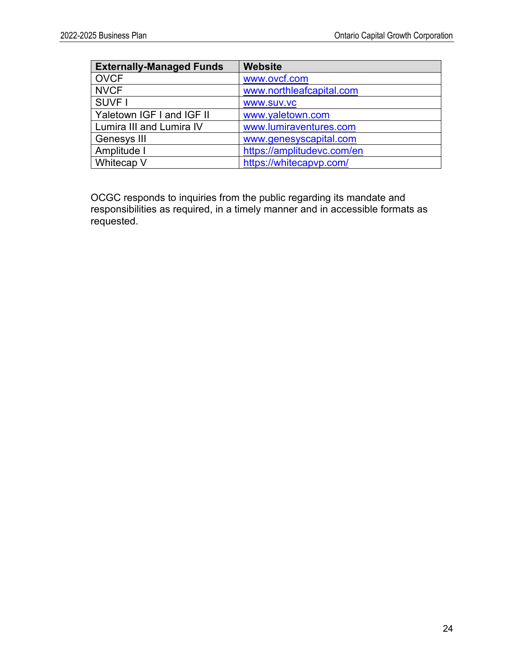| <b>Externally-Managed Funds</b> | <b>Website</b>             |
|---------------------------------|----------------------------|
| <b>OVCF</b>                     | www.ovcf.com               |
| <b>NVCF</b>                     | www.northleafcapital.com   |
| SUVF I                          | <b>WWW.SUV.VC</b>          |
| Yaletown IGF I and IGF II       | www.yaletown.com           |
| Lumira III and Lumira IV        | www.lumiraventures.com     |
| Genesys III                     | www.genesyscapital.com     |
| Amplitude I                     | https://amplitudevc.com/en |
| Whitecap V                      | https://whitecapvp.com/    |

OCGC responds to inquiries from the public regarding its mandate and responsibilities as required, in a timely manner and in accessible formats as requested.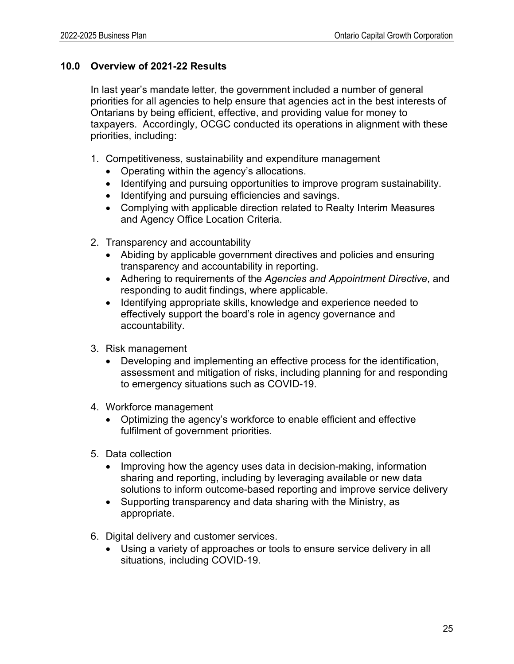#### <span id="page-24-0"></span>**10.0 Overview of 2021-22 Results**

In last year's mandate letter, the government included a number of general priorities for all agencies to help ensure that agencies act in the best interests of Ontarians by being efficient, effective, and providing value for money to taxpayers. Accordingly, OCGC conducted its operations in alignment with these priorities, including:

- 1. Competitiveness, sustainability and expenditure management
	- Operating within the agency's allocations.
	- Identifying and pursuing opportunities to improve program sustainability.
	- Identifying and pursuing efficiencies and savings.
	- Complying with applicable direction related to Realty Interim Measures and Agency Office Location Criteria.
- 2. Transparency and accountability
	- Abiding by applicable government directives and policies and ensuring transparency and accountability in reporting.
	- Adhering to requirements of the *Agencies and Appointment Directive*, and responding to audit findings, where applicable.
	- Identifying appropriate skills, knowledge and experience needed to effectively support the board's role in agency governance and accountability.
- 3. Risk management
	- Developing and implementing an effective process for the identification, assessment and mitigation of risks, including planning for and responding to emergency situations such as COVID-19.
- 4. Workforce management
	- Optimizing the agency's workforce to enable efficient and effective fulfilment of government priorities.
- 5. Data collection
	- Improving how the agency uses data in decision-making, information sharing and reporting, including by leveraging available or new data solutions to inform outcome-based reporting and improve service delivery
	- Supporting transparency and data sharing with the Ministry, as appropriate.
- 6. Digital delivery and customer services.
	- Using a variety of approaches or tools to ensure service delivery in all situations, including COVID-19.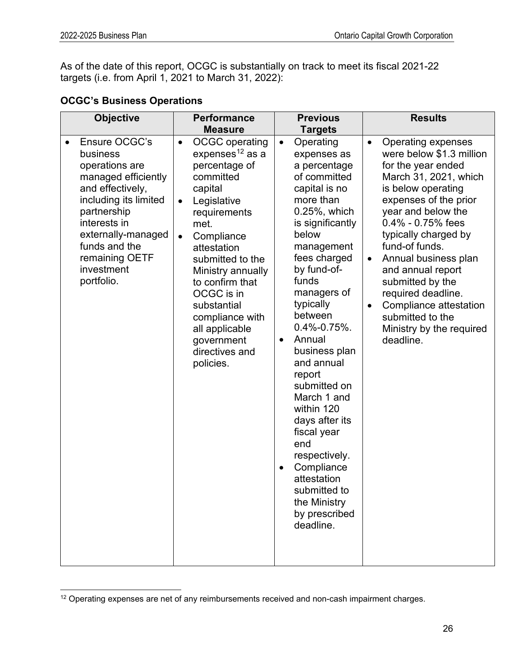As of the date of this report, OCGC is substantially on track to meet its fiscal 2021-22 targets (i.e. from April 1, 2021 to March 31, 2022):

# **OCGC's Business Operations**

| <b>Objective</b>                                                                                                                                                                                                                                 | <b>Performance</b><br><b>Measure</b>                                                                                                                                                                                                                                                                                                                                   | <b>Previous</b><br><b>Targets</b>                                                                                                                                                                                                                                                                                                                                                                                                                                                                                                    | <b>Results</b>                                                                                                                                                                                                                                                                                                                                                                                                                               |
|--------------------------------------------------------------------------------------------------------------------------------------------------------------------------------------------------------------------------------------------------|------------------------------------------------------------------------------------------------------------------------------------------------------------------------------------------------------------------------------------------------------------------------------------------------------------------------------------------------------------------------|--------------------------------------------------------------------------------------------------------------------------------------------------------------------------------------------------------------------------------------------------------------------------------------------------------------------------------------------------------------------------------------------------------------------------------------------------------------------------------------------------------------------------------------|----------------------------------------------------------------------------------------------------------------------------------------------------------------------------------------------------------------------------------------------------------------------------------------------------------------------------------------------------------------------------------------------------------------------------------------------|
| Ensure OCGC's<br>$\bullet$<br>business<br>operations are<br>managed efficiently<br>and effectively,<br>including its limited<br>partnership<br>interests in<br>externally-managed<br>funds and the<br>remaining OETF<br>investment<br>portfolio. | <b>OCGC</b> operating<br>$\bullet$<br>expenses <sup>12</sup> as a<br>percentage of<br>committed<br>capital<br>Legislative<br>$\bullet$<br>requirements<br>met.<br>Compliance<br>attestation<br>submitted to the<br>Ministry annually<br>to confirm that<br>OCGC is in<br>substantial<br>compliance with<br>all applicable<br>government<br>directives and<br>policies. | Operating<br>$\bullet$<br>expenses as<br>a percentage<br>of committed<br>capital is no<br>more than<br>0.25%, which<br>is significantly<br>below<br>management<br>fees charged<br>by fund-of-<br>funds<br>managers of<br>typically<br>between<br>$0.4\% - 0.75\%$ .<br>Annual<br>$\bullet$<br>business plan<br>and annual<br>report<br>submitted on<br>March 1 and<br>within 120<br>days after its<br>fiscal year<br>end<br>respectively.<br>Compliance<br>attestation<br>submitted to<br>the Ministry<br>by prescribed<br>deadline. | Operating expenses<br>$\bullet$<br>were below \$1.3 million<br>for the year ended<br>March 31, 2021, which<br>is below operating<br>expenses of the prior<br>year and below the<br>$0.4\%$ - 0.75% fees<br>typically charged by<br>fund-of funds.<br>Annual business plan<br>$\bullet$<br>and annual report<br>submitted by the<br>required deadline.<br>Compliance attestation<br>submitted to the<br>Ministry by the required<br>deadline. |

<span id="page-25-0"></span><sup>&</sup>lt;sup>12</sup> Operating expenses are net of any reimbursements received and non-cash impairment charges.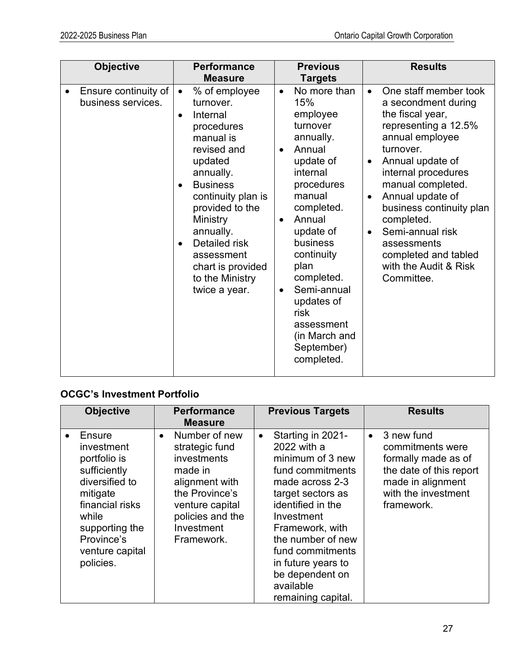|           | <b>Objective</b>                           | <b>Performance</b><br><b>Measure</b>                                                                                                                                                                                                                                                                                                      | <b>Previous</b><br><b>Targets</b>                                                                                                                                                                                                                                                                                                                            | <b>Results</b>                                                                                                                                                                                                                                                                                                                                                                                               |
|-----------|--------------------------------------------|-------------------------------------------------------------------------------------------------------------------------------------------------------------------------------------------------------------------------------------------------------------------------------------------------------------------------------------------|--------------------------------------------------------------------------------------------------------------------------------------------------------------------------------------------------------------------------------------------------------------------------------------------------------------------------------------------------------------|--------------------------------------------------------------------------------------------------------------------------------------------------------------------------------------------------------------------------------------------------------------------------------------------------------------------------------------------------------------------------------------------------------------|
| $\bullet$ | Ensure continuity of<br>business services. | % of employee<br>$\bullet$<br>turnover.<br>Internal<br>$\bullet$<br>procedures<br>manual is<br>revised and<br>updated<br>annually.<br><b>Business</b><br>$\bullet$<br>continuity plan is<br>provided to the<br>Ministry<br>annually.<br>Detailed risk<br>$\bullet$<br>assessment<br>chart is provided<br>to the Ministry<br>twice a year. | No more than<br>$\bullet$<br>15%<br>employee<br>turnover<br>annually.<br>Annual<br>$\bullet$<br>update of<br>internal<br>procedures<br>manual<br>completed.<br>Annual<br>$\bullet$<br>update of<br>business<br>continuity<br>plan<br>completed.<br>Semi-annual<br>$\bullet$<br>updates of<br>risk<br>assessment<br>(in March and<br>September)<br>completed. | One staff member took<br>$\bullet$<br>a secondment during<br>the fiscal year,<br>representing a 12.5%<br>annual employee<br>turnover.<br>Annual update of<br>$\bullet$<br>internal procedures<br>manual completed.<br>Annual update of<br>$\bullet$<br>business continuity plan<br>completed.<br>Semi-annual risk<br>$\bullet$<br>assessments<br>completed and tabled<br>with the Audit & Risk<br>Committee. |

# **OCGC's Investment Portfolio**

|           | <b>Objective</b>                                                                                                                                                               |           | <b>Performance</b><br><b>Measure</b>                                                                                                                             |           | <b>Previous Targets</b>                                                                                                                                                                                                                                                                     |           | <b>Results</b>                                                                                                                             |
|-----------|--------------------------------------------------------------------------------------------------------------------------------------------------------------------------------|-----------|------------------------------------------------------------------------------------------------------------------------------------------------------------------|-----------|---------------------------------------------------------------------------------------------------------------------------------------------------------------------------------------------------------------------------------------------------------------------------------------------|-----------|--------------------------------------------------------------------------------------------------------------------------------------------|
| $\bullet$ | Ensure<br>investment<br>portfolio is<br>sufficiently<br>diversified to<br>mitigate<br>financial risks<br>while<br>supporting the<br>Province's<br>venture capital<br>policies. | $\bullet$ | Number of new<br>strategic fund<br>investments<br>made in<br>alignment with<br>the Province's<br>venture capital<br>policies and the<br>Investment<br>Framework. | $\bullet$ | Starting in 2021-<br>2022 with a<br>minimum of 3 new<br>fund commitments<br>made across 2-3<br>target sectors as<br>identified in the<br>Investment<br>Framework, with<br>the number of new<br>fund commitments<br>in future years to<br>be dependent on<br>available<br>remaining capital. | $\bullet$ | 3 new fund<br>commitments were<br>formally made as of<br>the date of this report<br>made in alignment<br>with the investment<br>framework. |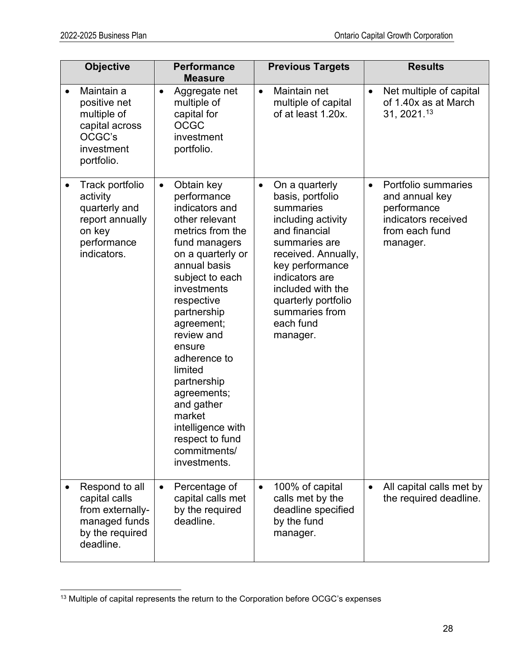|           | <b>Objective</b>                                                                                        |           | <b>Performance</b><br><b>Measure</b>                                                                                                                                                                                                                                                                                                                                                                  |           | <b>Previous Targets</b>                                                                                                                                                                                                                                    |           | <b>Results</b>                                                                                            |
|-----------|---------------------------------------------------------------------------------------------------------|-----------|-------------------------------------------------------------------------------------------------------------------------------------------------------------------------------------------------------------------------------------------------------------------------------------------------------------------------------------------------------------------------------------------------------|-----------|------------------------------------------------------------------------------------------------------------------------------------------------------------------------------------------------------------------------------------------------------------|-----------|-----------------------------------------------------------------------------------------------------------|
| $\bullet$ | Maintain a<br>positive net<br>multiple of<br>capital across<br>OCGC's<br>investment<br>portfolio.       | $\bullet$ | Aggregate net<br>multiple of<br>capital for<br><b>OCGC</b><br>investment<br>portfolio.                                                                                                                                                                                                                                                                                                                | $\bullet$ | Maintain net<br>multiple of capital<br>of at least 1.20x.                                                                                                                                                                                                  | $\bullet$ | Net multiple of capital<br>of 1.40x as at March<br>31, 2021.13                                            |
| ٠         | Track portfolio<br>activity<br>quarterly and<br>report annually<br>on key<br>performance<br>indicators. | $\bullet$ | Obtain key<br>performance<br>indicators and<br>other relevant<br>metrics from the<br>fund managers<br>on a quarterly or<br>annual basis<br>subject to each<br>investments<br>respective<br>partnership<br>agreement;<br>review and<br>ensure<br>adherence to<br>limited<br>partnership<br>agreements;<br>and gather<br>market<br>intelligence with<br>respect to fund<br>commitments/<br>investments. | $\bullet$ | On a quarterly<br>basis, portfolio<br>summaries<br>including activity<br>and financial<br>summaries are<br>received. Annually,<br>key performance<br>indicators are<br>included with the<br>quarterly portfolio<br>summaries from<br>each fund<br>manager. | $\bullet$ | Portfolio summaries<br>and annual key<br>performance<br>indicators received<br>from each fund<br>manager. |
|           | Respond to all<br>capital calls<br>from externally-<br>managed funds<br>by the required<br>deadline.    | $\bullet$ | Percentage of<br>capital calls met<br>by the required<br>deadline.                                                                                                                                                                                                                                                                                                                                    | $\bullet$ | 100% of capital<br>calls met by the<br>deadline specified<br>by the fund<br>manager.                                                                                                                                                                       | $\bullet$ | All capital calls met by<br>the required deadline.                                                        |

<span id="page-27-0"></span><sup>&</sup>lt;sup>13</sup> Multiple of capital represents the return to the Corporation before OCGC's expenses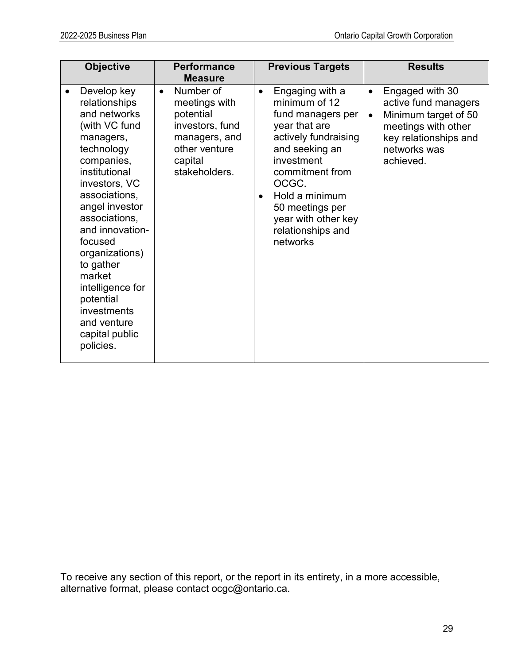|   | <b>Objective</b>                                                                                                                                                                                                                                                                                                                                                  |           | <b>Performance</b><br><b>Measure</b>                                                                                     |                        | <b>Previous Targets</b>                                                                                                                                                                                                                                 |                        | <b>Results</b>                                                                                                                               |
|---|-------------------------------------------------------------------------------------------------------------------------------------------------------------------------------------------------------------------------------------------------------------------------------------------------------------------------------------------------------------------|-----------|--------------------------------------------------------------------------------------------------------------------------|------------------------|---------------------------------------------------------------------------------------------------------------------------------------------------------------------------------------------------------------------------------------------------------|------------------------|----------------------------------------------------------------------------------------------------------------------------------------------|
| ٠ | Develop key<br>relationships<br>and networks<br>(with VC fund<br>managers,<br>technology<br>companies,<br>institutional<br>investors, VC<br>associations,<br>angel investor<br>associations,<br>and innovation-<br>focused<br>organizations)<br>to gather<br>market<br>intelligence for<br>potential<br>investments<br>and venture<br>capital public<br>policies. | $\bullet$ | Number of<br>meetings with<br>potential<br>investors, fund<br>managers, and<br>other venture<br>capital<br>stakeholders. | $\bullet$<br>$\bullet$ | Engaging with a<br>minimum of 12<br>fund managers per<br>year that are<br>actively fundraising<br>and seeking an<br>investment<br>commitment from<br>OCGC.<br>Hold a minimum<br>50 meetings per<br>year with other key<br>relationships and<br>networks | $\bullet$<br>$\bullet$ | Engaged with 30<br>active fund managers<br>Minimum target of 50<br>meetings with other<br>key relationships and<br>networks was<br>achieved. |

To receive any section of this report, or the report in its entirety, in a more accessible, alternative format, please contact ocgc@ontario.ca.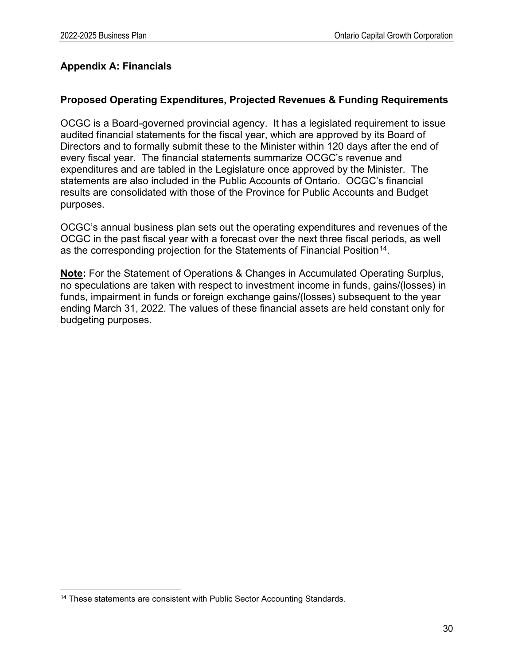## <span id="page-29-0"></span>**Appendix A: Financials**

## **Proposed Operating Expenditures, Projected Revenues & Funding Requirements**

OCGC is a Board-governed provincial agency. It has a legislated requirement to issue audited financial statements for the fiscal year, which are approved by its Board of Directors and to formally submit these to the Minister within 120 days after the end of every fiscal year. The financial statements summarize OCGC's revenue and expenditures and are tabled in the Legislature once approved by the Minister. The statements are also included in the Public Accounts of Ontario. OCGC's financial results are consolidated with those of the Province for Public Accounts and Budget purposes.

OCGC's annual business plan sets out the operating expenditures and revenues of the OCGC in the past fiscal year with a forecast over the next three fiscal periods, as well as the corresponding projection for the Statements of Financial Position<sup>[14](#page-29-1)</sup>.

**Note:** For the Statement of Operations & Changes in Accumulated Operating Surplus, no speculations are taken with respect to investment income in funds, gains/(losses) in funds, impairment in funds or foreign exchange gains/(losses) subsequent to the year ending March 31, 2022. The values of these financial assets are held constant only for budgeting purposes.

<span id="page-29-1"></span><sup>&</sup>lt;sup>14</sup> These statements are consistent with Public Sector Accounting Standards.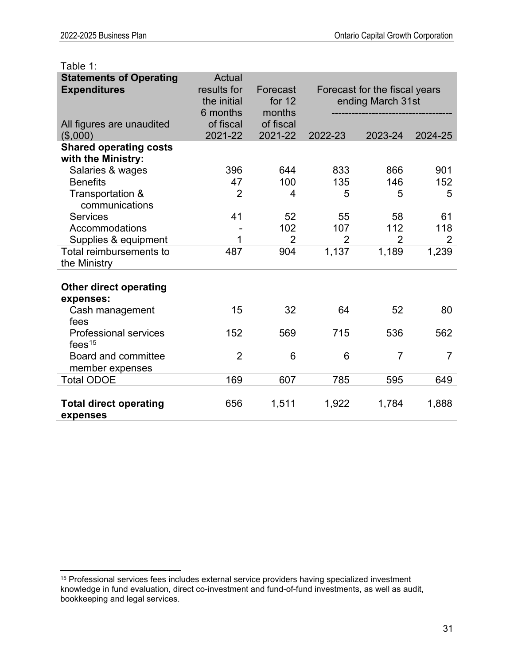| Table 1:                                                                |                                                  |                                |         |                                                    |                |
|-------------------------------------------------------------------------|--------------------------------------------------|--------------------------------|---------|----------------------------------------------------|----------------|
| <b>Statements of Operating</b><br><b>Expenditures</b>                   | Actual<br>results for<br>the initial<br>6 months | Forecast<br>for $12$<br>months |         | Forecast for the fiscal years<br>ending March 31st |                |
| All figures are unaudited<br>(\$,000)                                   | of fiscal<br>2021-22                             | of fiscal<br>2021-22           | 2022-23 | 2023-24                                            | 2024-25        |
| <b>Shared operating costs</b><br>with the Ministry:<br>Salaries & wages | 396                                              | 644                            | 833     | 866                                                | 901            |
| <b>Benefits</b>                                                         | 47                                               | 100                            | 135     | 146                                                | 152            |
| Transportation &<br>communications                                      | $\overline{2}$                                   | 4                              | 5       | 5                                                  | 5              |
| <b>Services</b>                                                         | 41                                               | 52                             | 55      | 58                                                 | 61             |
| Accommodations                                                          |                                                  | 102                            | 107     | 112                                                | 118            |
| Supplies & equipment                                                    | 1                                                | $\overline{2}$                 | 2       | $\overline{2}$                                     | $\overline{2}$ |
| Total reimbursements to<br>the Ministry                                 | 487                                              | 904                            | 1,137   | 1,189                                              | 1,239          |
| <b>Other direct operating</b><br>expenses:                              |                                                  |                                |         |                                                    |                |
| Cash management<br>fees                                                 | 15                                               | 32                             | 64      | 52                                                 | 80             |
| <b>Professional services</b><br>fees $15$                               | 152                                              | 569                            | 715     | 536                                                | 562            |
| <b>Board and committee</b><br>member expenses                           | $\overline{2}$                                   | 6                              | 6       | $\overline{7}$                                     | $\overline{7}$ |
| <b>Total ODOE</b>                                                       | 169                                              | 607                            | 785     | 595                                                | 649            |
| <b>Total direct operating</b><br>expenses                               | 656                                              | 1,511                          | 1,922   | 1,784                                              | 1,888          |

<span id="page-30-0"></span><sup>&</sup>lt;sup>15</sup> Professional services fees includes external service providers having specialized investment knowledge in fund evaluation, direct co-investment and fund-of-fund investments, as well as audit, bookkeeping and legal services.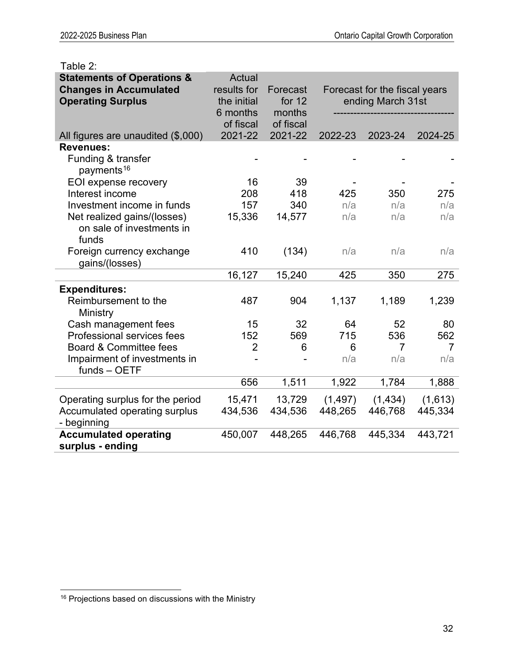| Taple 2:                                                               |                              |                     |                               |                   |                |  |
|------------------------------------------------------------------------|------------------------------|---------------------|-------------------------------|-------------------|----------------|--|
| <b>Statements of Operations &amp;</b><br><b>Changes in Accumulated</b> | <b>Actual</b><br>results for | Forecast            | Forecast for the fiscal years |                   |                |  |
| <b>Operating Surplus</b>                                               | the initial                  | for 12              |                               | ending March 31st |                |  |
|                                                                        | 6 months<br>of fiscal        | months<br>of fiscal |                               |                   |                |  |
| All figures are unaudited (\$,000)                                     | 2021-22                      | 2021-22             | 2022-23                       | 2023-24           | 2024-25        |  |
| <b>Revenues:</b>                                                       |                              |                     |                               |                   |                |  |
| Funding & transfer<br>payments <sup>16</sup>                           |                              |                     |                               |                   |                |  |
| EOI expense recovery                                                   | 16                           | 39                  |                               |                   |                |  |
| Interest income                                                        | 208                          | 418                 | 425                           | 350               | 275            |  |
| Investment income in funds                                             | 157                          | 340                 | n/a                           | n/a               | n/a            |  |
| Net realized gains/(losses)                                            | 15,336                       | 14,577              | n/a                           | n/a               | n/a            |  |
| on sale of investments in<br>funds                                     |                              |                     |                               |                   |                |  |
| Foreign currency exchange<br>gains/(losses)                            | 410                          | (134)               | n/a                           | n/a               | n/a            |  |
|                                                                        | 16,127                       | 15,240              | 425                           | 350               | 275            |  |
| <b>Expenditures:</b>                                                   |                              |                     |                               |                   |                |  |
| Reimbursement to the<br>Ministry                                       | 487                          | 904                 | 1,137                         | 1,189             | 1,239          |  |
| Cash management fees                                                   | 15                           | 32                  | 64                            | 52                | 80             |  |
| Professional services fees                                             | 152                          | 569                 | 715                           | 536               | 562            |  |
| Board & Committee fees                                                 | $\overline{2}$               | 6                   | 6                             | $\overline{7}$    | $\overline{7}$ |  |
| Impairment of investments in<br>funds - OETF                           |                              |                     | n/a                           | n/a               | n/a            |  |
|                                                                        | 656                          | 1,511               | 1,922                         | 1,784             | 1,888          |  |
| Operating surplus for the period                                       | 15,471                       | 13,729              | (1, 497)                      | (1, 434)          | (1,613)        |  |
| Accumulated operating surplus<br>- beginning                           | 434,536                      | 434,536             | 448,265                       | 446,768           | 445,334        |  |
| <b>Accumulated operating</b><br>surplus - ending                       | 450,007                      | 448,265             | 446,768                       | 445,334           | 443,721        |  |

# Table 2:

<span id="page-31-0"></span><sup>16</sup> Projections based on discussions with the Ministry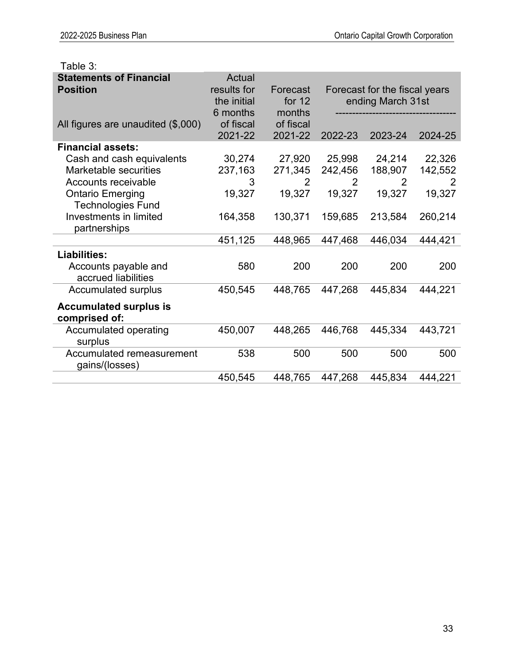| rapie p:                                                                  |                                                  |                              |                                                    |                                     |                        |
|---------------------------------------------------------------------------|--------------------------------------------------|------------------------------|----------------------------------------------------|-------------------------------------|------------------------|
| <b>Statements of Financial</b><br><b>Position</b>                         | Actual<br>results for<br>the initial<br>6 months | Forecast<br>for 12<br>months | Forecast for the fiscal years<br>ending March 31st |                                     |                        |
| All figures are unaudited (\$,000)                                        | of fiscal<br>2021-22                             | of fiscal<br>2021-22         | 2022-23                                            | 2023-24                             | 2024-25                |
| <b>Financial assets:</b>                                                  |                                                  |                              |                                                    |                                     |                        |
| Cash and cash equivalents<br>Marketable securities<br>Accounts receivable | 30,274<br>237,163<br>3                           | 27,920<br>271,345<br>2       | 25,998<br>242,456<br>2                             | 24,214<br>188,907<br>$\overline{2}$ | 22,326<br>142,552<br>2 |
| <b>Ontario Emerging</b>                                                   | 19,327                                           | 19,327                       | 19,327                                             | 19,327                              | 19,327                 |
| <b>Technologies Fund</b>                                                  |                                                  |                              |                                                    |                                     |                        |
| Investments in limited<br>partnerships                                    | 164,358                                          | 130,371                      | 159,685                                            | 213,584                             | 260,214                |
|                                                                           | 451,125                                          | 448,965                      | 447,468                                            | 446,034                             | 444,421                |
| <b>Liabilities:</b>                                                       |                                                  |                              |                                                    |                                     |                        |
| Accounts payable and<br>accrued liabilities                               | 580                                              | 200                          | 200                                                | 200                                 | 200                    |
| Accumulated surplus                                                       | 450,545                                          | 448,765                      | 447,268                                            | 445,834                             | 444,221                |
| <b>Accumulated surplus is</b><br>comprised of:                            |                                                  |                              |                                                    |                                     |                        |
| Accumulated operating<br>surplus                                          | 450,007                                          | 448,265                      | 446,768                                            | 445,334                             | 443,721                |
| Accumulated remeasurement<br>gains/(losses)                               | 538                                              | 500                          | 500                                                | 500                                 | 500                    |
|                                                                           | 450,545                                          | 448,765                      | 447,268                                            | 445,834                             | 444,221                |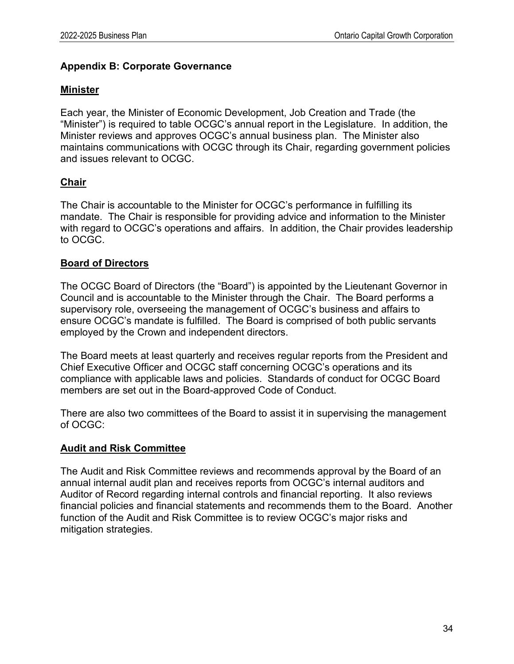## <span id="page-33-0"></span>**Appendix B: Corporate Governance**

## **Minister**

Each year, the Minister of Economic Development, Job Creation and Trade (the "Minister") is required to table OCGC's annual report in the Legislature. In addition, the Minister reviews and approves OCGC's annual business plan. The Minister also maintains communications with OCGC through its Chair, regarding government policies and issues relevant to OCGC.

# **Chair**

The Chair is accountable to the Minister for OCGC's performance in fulfilling its mandate. The Chair is responsible for providing advice and information to the Minister with regard to OCGC's operations and affairs. In addition, the Chair provides leadership to OCGC.

## **Board of Directors**

The OCGC Board of Directors (the "Board") is appointed by the Lieutenant Governor in Council and is accountable to the Minister through the Chair. The Board performs a supervisory role, overseeing the management of OCGC's business and affairs to ensure OCGC's mandate is fulfilled. The Board is comprised of both public servants employed by the Crown and independent directors.

The Board meets at least quarterly and receives regular reports from the President and Chief Executive Officer and OCGC staff concerning OCGC's operations and its compliance with applicable laws and policies. Standards of conduct for OCGC Board members are set out in the Board-approved Code of Conduct.

There are also two committees of the Board to assist it in supervising the management of OCGC:

# **Audit and Risk Committee**

The Audit and Risk Committee reviews and recommends approval by the Board of an annual internal audit plan and receives reports from OCGC's internal auditors and Auditor of Record regarding internal controls and financial reporting. It also reviews financial policies and financial statements and recommends them to the Board. Another function of the Audit and Risk Committee is to review OCGC's major risks and mitigation strategies.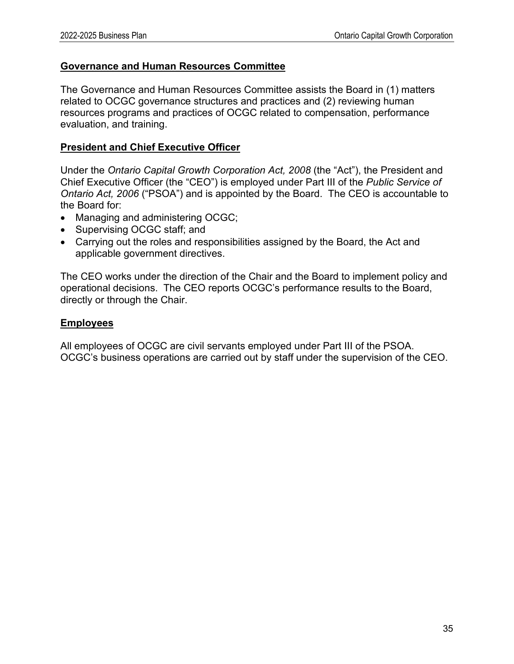#### **Governance and Human Resources Committee**

The Governance and Human Resources Committee assists the Board in (1) matters related to OCGC governance structures and practices and (2) reviewing human resources programs and practices of OCGC related to compensation, performance evaluation, and training.

#### **President and Chief Executive Officer**

Under the *Ontario Capital Growth Corporation Act, 2008* (the "Act"), the President and Chief Executive Officer (the "CEO") is employed under Part III of the *Public Service of Ontario Act, 2006* ("PSOA") and is appointed by the Board. The CEO is accountable to the Board for:

- Managing and administering OCGC;
- Supervising OCGC staff; and
- Carrying out the roles and responsibilities assigned by the Board, the Act and applicable government directives.

The CEO works under the direction of the Chair and the Board to implement policy and operational decisions. The CEO reports OCGC's performance results to the Board, directly or through the Chair.

#### **Employees**

All employees of OCGC are civil servants employed under Part III of the PSOA. OCGC's business operations are carried out by staff under the supervision of the CEO.